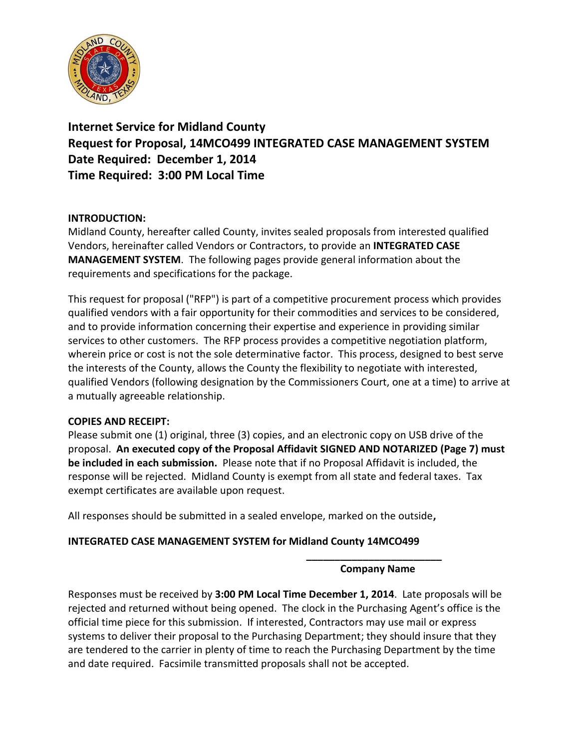

**Internet Service for Midland County Request for Proposal, 14MCO499 INTEGRATED CASE MANAGEMENT SYSTEM Date Required: December 1, 2014 Time Required: 3:00 PM Local Time**

## **INTRODUCTION:**

Midland County, hereafter called County, invites sealed proposals from interested qualified Vendors, hereinafter called Vendors or Contractors, to provide an **INTEGRATED CASE MANAGEMENT SYSTEM**. The following pages provide general information about the requirements and specifications for the package.

This request for proposal ("RFP") is part of a competitive procurement process which provides qualified vendors with a fair opportunity for their commodities and services to be considered, and to provide information concerning their expertise and experience in providing similar services to other customers. The RFP process provides a competitive negotiation platform, wherein price or cost is not the sole determinative factor. This process, designed to best serve the interests of the County, allows the County the flexibility to negotiate with interested, qualified Vendors (following designation by the Commissioners Court, one at a time) to arrive at a mutually agreeable relationship.

## **COPIES AND RECEIPT:**

Please submit one (1) original, three (3) copies, and an electronic copy on USB drive of the proposal. **An executed copy of the Proposal Affidavit SIGNED AND NOTARIZED (Page 7) must be included in each submission.** Please note that if no Proposal Affidavit is included, the response will be rejected. Midland County is exempt from all state and federal taxes. Tax exempt certificates are available upon request.

All responses should be submitted in a sealed envelope, marked on the outside**,** 

## **INTEGRATED CASE MANAGEMENT SYSTEM for Midland County 14MCO499**

#### **\_\_\_\_\_\_\_\_\_\_\_\_\_\_\_\_\_\_\_\_\_\_\_\_ Company Name**

Responses must be received by **3:00 PM Local Time December 1, 2014**. Late proposals will be rejected and returned without being opened. The clock in the Purchasing Agent's office is the official time piece for this submission. If interested, Contractors may use mail or express systems to deliver their proposal to the Purchasing Department; they should insure that they are tendered to the carrier in plenty of time to reach the Purchasing Department by the time and date required. Facsimile transmitted proposals shall not be accepted.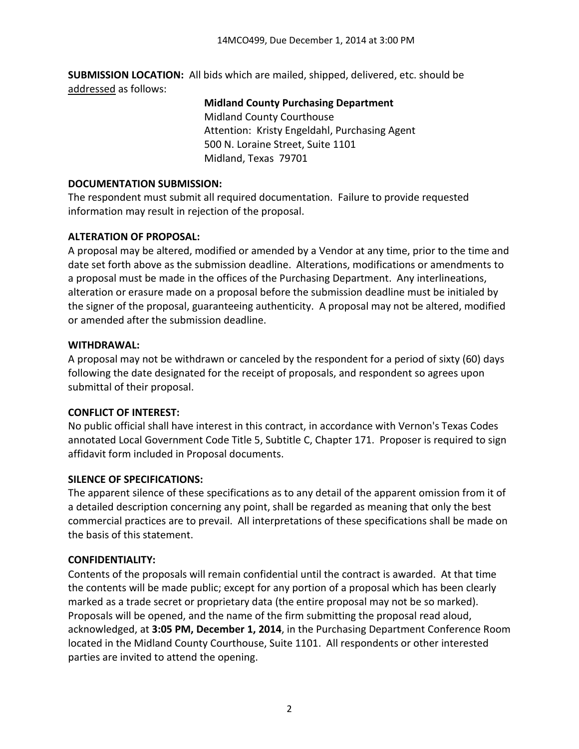**SUBMISSION LOCATION:** All bids which are mailed, shipped, delivered, etc. should be addressed as follows:

#### **Midland County Purchasing Department**

Midland County Courthouse Attention: Kristy Engeldahl, Purchasing Agent 500 N. Loraine Street, Suite 1101 Midland, Texas 79701

### **DOCUMENTATION SUBMISSION:**

The respondent must submit all required documentation. Failure to provide requested information may result in rejection of the proposal.

## **ALTERATION OF PROPOSAL:**

A proposal may be altered, modified or amended by a Vendor at any time, prior to the time and date set forth above as the submission deadline. Alterations, modifications or amendments to a proposal must be made in the offices of the Purchasing Department. Any interlineations, alteration or erasure made on a proposal before the submission deadline must be initialed by the signer of the proposal, guaranteeing authenticity. A proposal may not be altered, modified or amended after the submission deadline.

## **WITHDRAWAL:**

A proposal may not be withdrawn or canceled by the respondent for a period of sixty (60) days following the date designated for the receipt of proposals, and respondent so agrees upon submittal of their proposal.

## **CONFLICT OF INTEREST:**

No public official shall have interest in this contract, in accordance with Vernon's Texas Codes annotated Local Government Code Title 5, Subtitle C, Chapter 171. Proposer is required to sign affidavit form included in Proposal documents.

## **SILENCE OF SPECIFICATIONS:**

The apparent silence of these specifications as to any detail of the apparent omission from it of a detailed description concerning any point, shall be regarded as meaning that only the best commercial practices are to prevail. All interpretations of these specifications shall be made on the basis of this statement.

## **CONFIDENTIALITY:**

Contents of the proposals will remain confidential until the contract is awarded. At that time the contents will be made public; except for any portion of a proposal which has been clearly marked as a trade secret or proprietary data (the entire proposal may not be so marked). Proposals will be opened, and the name of the firm submitting the proposal read aloud, acknowledged, at **3:05 PM, December 1, 2014**, in the Purchasing Department Conference Room located in the Midland County Courthouse, Suite 1101. All respondents or other interested parties are invited to attend the opening.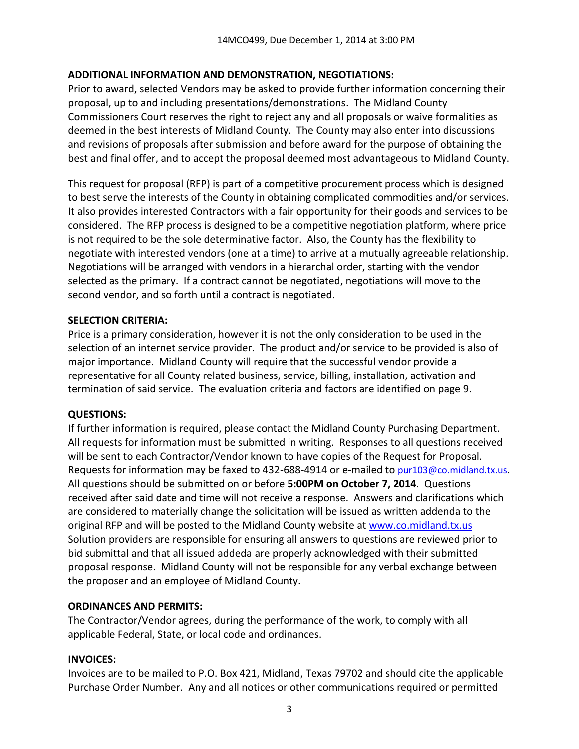## **ADDITIONAL INFORMATION AND DEMONSTRATION, NEGOTIATIONS:**

Prior to award, selected Vendors may be asked to provide further information concerning their proposal, up to and including presentations/demonstrations. The Midland County Commissioners Court reserves the right to reject any and all proposals or waive formalities as deemed in the best interests of Midland County. The County may also enter into discussions and revisions of proposals after submission and before award for the purpose of obtaining the best and final offer, and to accept the proposal deemed most advantageous to Midland County.

This request for proposal (RFP) is part of a competitive procurement process which is designed to best serve the interests of the County in obtaining complicated commodities and/or services. It also provides interested Contractors with a fair opportunity for their goods and services to be considered. The RFP process is designed to be a competitive negotiation platform, where price is not required to be the sole determinative factor. Also, the County has the flexibility to negotiate with interested vendors (one at a time) to arrive at a mutually agreeable relationship. Negotiations will be arranged with vendors in a hierarchal order, starting with the vendor selected as the primary. If a contract cannot be negotiated, negotiations will move to the second vendor, and so forth until a contract is negotiated.

### **SELECTION CRITERIA:**

Price is a primary consideration, however it is not the only consideration to be used in the selection of an internet service provider. The product and/or service to be provided is also of major importance. Midland County will require that the successful vendor provide a representative for all County related business, service, billing, installation, activation and termination of said service. The evaluation criteria and factors are identified on page 9.

#### **QUESTIONS:**

If further information is required, please contact the Midland County Purchasing Department. All requests for information must be submitted in writing. Responses to all questions received will be sent to each Contractor/Vendor known to have copies of the Request for Proposal. Requests for information may be faxed to 432-688-4914 or e-mailed to [pur103@co.midland.tx.us](mailto:pur103@co.midland.tx.us). All questions should be submitted on or before **5:00PM on October 7, 2014**. Questions received after said date and time will not receive a response. Answers and clarifications which are considered to materially change the solicitation will be issued as written addenda to the original RFP and will be posted to the Midland County website at www.co.midland.tx.us Solution providers are responsible for ensuring all answers to questions are reviewed prior to bid submittal and that all issued addeda are properly acknowledged with their submitted proposal response. Midland County will not be responsible for any verbal exchange between the proposer and an employee of Midland County.

## **ORDINANCES AND PERMITS:**

The Contractor/Vendor agrees, during the performance of the work, to comply with all applicable Federal, State, or local code and ordinances.

#### **INVOICES:**

Invoices are to be mailed to P.O. Box 421, Midland, Texas 79702 and should cite the applicable Purchase Order Number. Any and all notices or other communications required or permitted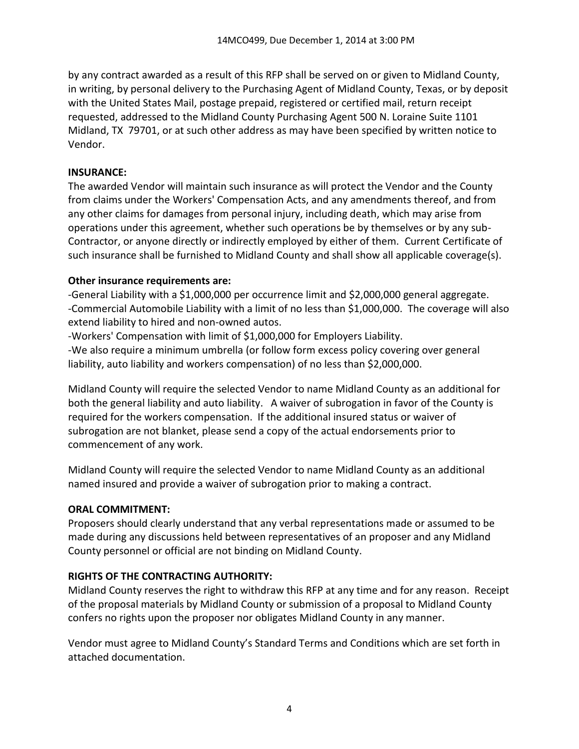by any contract awarded as a result of this RFP shall be served on or given to Midland County, in writing, by personal delivery to the Purchasing Agent of Midland County, Texas, or by deposit with the United States Mail, postage prepaid, registered or certified mail, return receipt requested, addressed to the Midland County Purchasing Agent 500 N. Loraine Suite 1101 Midland, TX 79701, or at such other address as may have been specified by written notice to Vendor.

### **INSURANCE:**

The awarded Vendor will maintain such insurance as will protect the Vendor and the County from claims under the Workers' Compensation Acts, and any amendments thereof, and from any other claims for damages from personal injury, including death, which may arise from operations under this agreement, whether such operations be by themselves or by any sub-Contractor, or anyone directly or indirectly employed by either of them. Current Certificate of such insurance shall be furnished to Midland County and shall show all applicable coverage(s).

### **Other insurance requirements are:**

-General Liability with a \$1,000,000 per occurrence limit and \$2,000,000 general aggregate. -Commercial Automobile Liability with a limit of no less than \$1,000,000. The coverage will also extend liability to hired and non-owned autos.

-Workers' Compensation with limit of \$1,000,000 for Employers Liability.

-We also require a minimum umbrella (or follow form excess policy covering over general liability, auto liability and workers compensation) of no less than \$2,000,000.

Midland County will require the selected Vendor to name Midland County as an additional for both the general liability and auto liability. A waiver of subrogation in favor of the County is required for the workers compensation. If the additional insured status or waiver of subrogation are not blanket, please send a copy of the actual endorsements prior to commencement of any work.

Midland County will require the selected Vendor to name Midland County as an additional named insured and provide a waiver of subrogation prior to making a contract.

## **ORAL COMMITMENT:**

Proposers should clearly understand that any verbal representations made or assumed to be made during any discussions held between representatives of an proposer and any Midland County personnel or official are not binding on Midland County.

## **RIGHTS OF THE CONTRACTING AUTHORITY:**

Midland County reserves the right to withdraw this RFP at any time and for any reason. Receipt of the proposal materials by Midland County or submission of a proposal to Midland County confers no rights upon the proposer nor obligates Midland County in any manner.

Vendor must agree to Midland County's Standard Terms and Conditions which are set forth in attached documentation.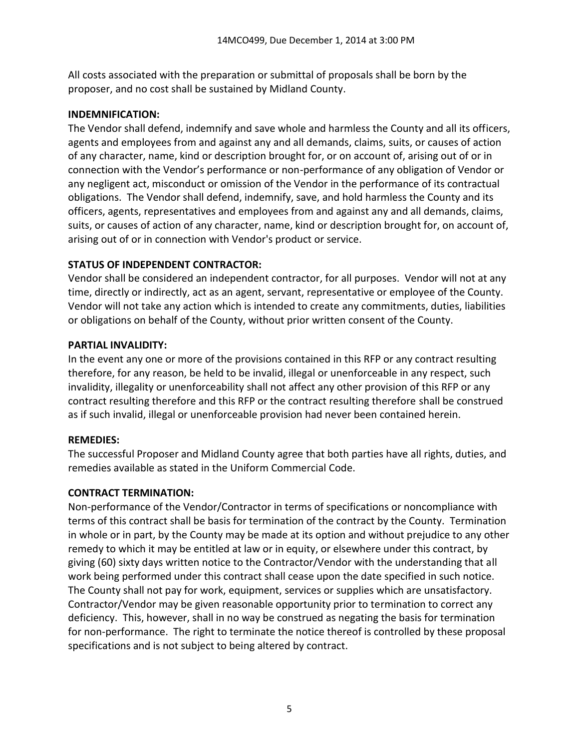All costs associated with the preparation or submittal of proposals shall be born by the proposer, and no cost shall be sustained by Midland County.

### **INDEMNIFICATION:**

The Vendor shall defend, indemnify and save whole and harmless the County and all its officers, agents and employees from and against any and all demands, claims, suits, or causes of action of any character, name, kind or description brought for, or on account of, arising out of or in connection with the Vendor's performance or non-performance of any obligation of Vendor or any negligent act, misconduct or omission of the Vendor in the performance of its contractual obligations. The Vendor shall defend, indemnify, save, and hold harmless the County and its officers, agents, representatives and employees from and against any and all demands, claims, suits, or causes of action of any character, name, kind or description brought for, on account of, arising out of or in connection with Vendor's product or service.

## **STATUS OF INDEPENDENT CONTRACTOR:**

Vendor shall be considered an independent contractor, for all purposes. Vendor will not at any time, directly or indirectly, act as an agent, servant, representative or employee of the County. Vendor will not take any action which is intended to create any commitments, duties, liabilities or obligations on behalf of the County, without prior written consent of the County.

### **PARTIAL INVALIDITY:**

In the event any one or more of the provisions contained in this RFP or any contract resulting therefore, for any reason, be held to be invalid, illegal or unenforceable in any respect, such invalidity, illegality or unenforceability shall not affect any other provision of this RFP or any contract resulting therefore and this RFP or the contract resulting therefore shall be construed as if such invalid, illegal or unenforceable provision had never been contained herein.

#### **REMEDIES:**

The successful Proposer and Midland County agree that both parties have all rights, duties, and remedies available as stated in the Uniform Commercial Code.

## **CONTRACT TERMINATION:**

Non-performance of the Vendor/Contractor in terms of specifications or noncompliance with terms of this contract shall be basis for termination of the contract by the County. Termination in whole or in part, by the County may be made at its option and without prejudice to any other remedy to which it may be entitled at law or in equity, or elsewhere under this contract, by giving (60) sixty days written notice to the Contractor/Vendor with the understanding that all work being performed under this contract shall cease upon the date specified in such notice. The County shall not pay for work, equipment, services or supplies which are unsatisfactory. Contractor/Vendor may be given reasonable opportunity prior to termination to correct any deficiency. This, however, shall in no way be construed as negating the basis for termination for non-performance. The right to terminate the notice thereof is controlled by these proposal specifications and is not subject to being altered by contract.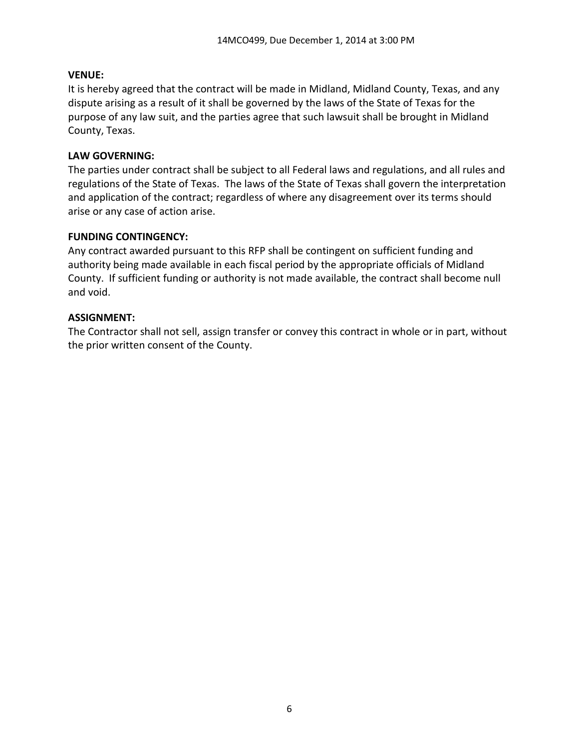### **VENUE:**

It is hereby agreed that the contract will be made in Midland, Midland County, Texas, and any dispute arising as a result of it shall be governed by the laws of the State of Texas for the purpose of any law suit, and the parties agree that such lawsuit shall be brought in Midland County, Texas.

### **LAW GOVERNING:**

The parties under contract shall be subject to all Federal laws and regulations, and all rules and regulations of the State of Texas. The laws of the State of Texas shall govern the interpretation and application of the contract; regardless of where any disagreement over its terms should arise or any case of action arise.

#### **FUNDING CONTINGENCY:**

Any contract awarded pursuant to this RFP shall be contingent on sufficient funding and authority being made available in each fiscal period by the appropriate officials of Midland County. If sufficient funding or authority is not made available, the contract shall become null and void.

### **ASSIGNMENT:**

The Contractor shall not sell, assign transfer or convey this contract in whole or in part, without the prior written consent of the County.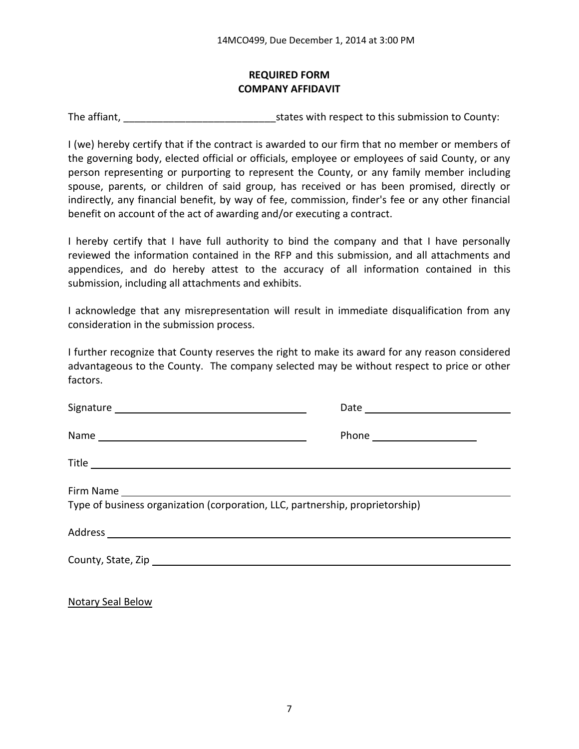## **REQUIRED FORM COMPANY AFFIDAVIT**

The affiant, The affiant,  $\frac{1}{2}$  is tates with respect to this submission to County:

I (we) hereby certify that if the contract is awarded to our firm that no member or members of the governing body, elected official or officials, employee or employees of said County, or any person representing or purporting to represent the County, or any family member including spouse, parents, or children of said group, has received or has been promised, directly or indirectly, any financial benefit, by way of fee, commission, finder's fee or any other financial benefit on account of the act of awarding and/or executing a contract.

I hereby certify that I have full authority to bind the company and that I have personally reviewed the information contained in the RFP and this submission, and all attachments and appendices, and do hereby attest to the accuracy of all information contained in this submission, including all attachments and exhibits.

I acknowledge that any misrepresentation will result in immediate disqualification from any consideration in the submission process.

I further recognize that County reserves the right to make its award for any reason considered advantageous to the County. The company selected may be without respect to price or other factors.

| Type of business organization (corporation, LLC, partnership, proprietorship) |
|-------------------------------------------------------------------------------|
|                                                                               |
|                                                                               |
|                                                                               |

Notary Seal Below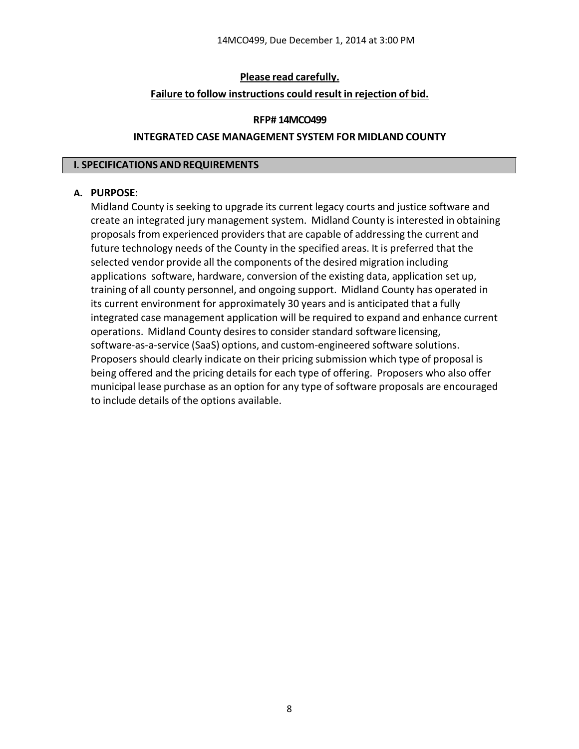### **Please read carefully.**

#### **Failure to follow instructions could result in rejection of bid.**

#### **RFP# 14MCO499**

#### **INTEGRATED CASE MANAGEMENT SYSTEM FOR MIDLAND COUNTY**

#### **I. SPECIFICATIONSANDREQUIREMENTS**

#### **A. PURPOSE**:

Midland County is seeking to upgrade its current legacy courts and justice software and create an integrated jury management system. Midland County is interested in obtaining proposals from experienced providersthat are capable of addressing the current and future technology needs of the County in the specified areas. It is preferred that the selected vendor provide all the components of the desired migration including applications software, hardware, conversion of the existing data, application set up, training of all county personnel, and ongoing support. Midland County has operated in its current environment for approximately 30 years and is anticipated that a fully integrated case management application will be required to expand and enhance current operations. Midland County desires to consider standard software licensing, software‐as‐a‐service (SaaS) options, and custom‐engineered software solutions. Proposers should clearly indicate on their pricing submission which type of proposal is being offered and the pricing details for each type of offering. Proposers who also offer municipal lease purchase as an option for any type of software proposals are encouraged to include details of the options available.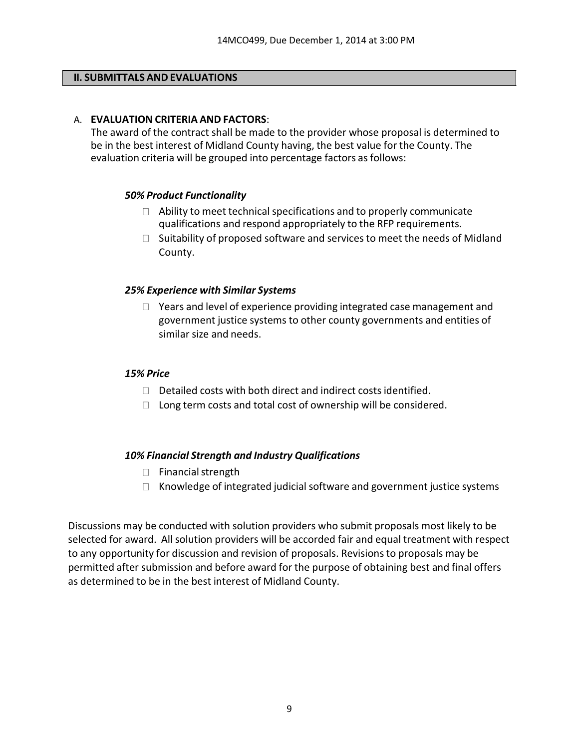#### **II. SUBMITTALS AND EVALUATIONS**

#### A. **EVALUATION CRITERIA AND FACTORS**:

The award of the contract shall be made to the provider whose proposal is determined to be in the best interest of Midland County having, the best value for the County. The evaluation criteria will be grouped into percentage factors as follows:

#### *50% Product Functionality*

- $\Box$  Ability to meet technical specifications and to properly communicate qualifications and respond appropriately to the RFP requirements.
- $\Box$  Suitability of proposed software and services to meet the needs of Midland County.

#### *25% Experience with Similar Systems*

 $\Box$  Years and level of experience providing integrated case management and government justice systems to other county governments and entities of similar size and needs.

#### *15% Price*

- $\Box$  Detailed costs with both direct and indirect costs identified.
- $\Box$  Long term costs and total cost of ownership will be considered.

#### *10% Financial Strength and Industry Qualifications*

- $\Box$  Financial strength
- $\Box$  Knowledge of integrated judicial software and government justice systems

Discussions may be conducted with solution providers who submit proposals most likely to be selected for award. All solution providers will be accorded fair and equal treatment with respect to any opportunity for discussion and revision of proposals. Revisionsto proposals may be permitted after submission and before award for the purpose of obtaining best and final offers as determined to be in the best interest of Midland County.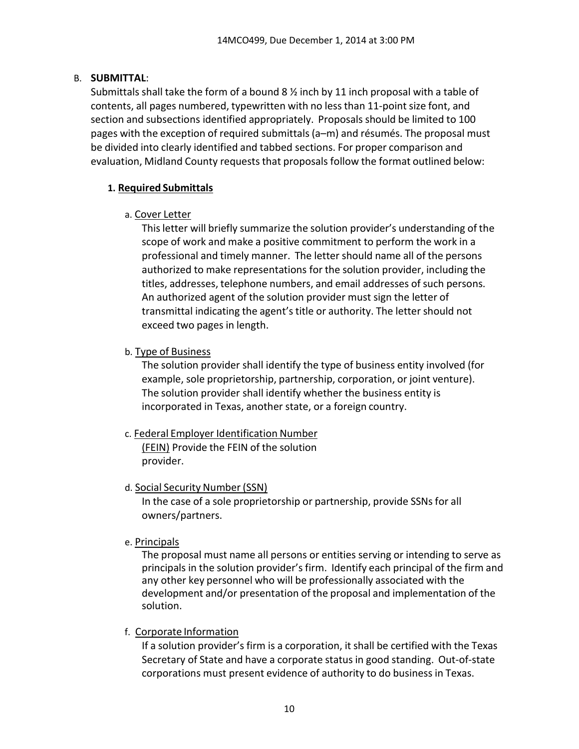## B. **SUBMITTAL**:

Submittals shall take the form of a bound 8  $\frac{1}{2}$  inch by 11 inch proposal with a table of contents, all pages numbered, typewritten with no less than 11‐point size font, and section and subsections identified appropriately. Proposals should be limited to 100 pages with the exception of required submittals(a–m) and résumés. The proposal must be divided into clearly identified and tabbed sections. For proper comparison and evaluation, Midland County requests that proposals follow the format outlined below:

## **1. Required Submittals**

## a. Cover Letter

Thisletter will briefly summarize the solution provider's understanding of the scope of work and make a positive commitment to perform the work in a professional and timely manner. The letter should name all of the persons authorized to make representations for the solution provider, including the titles, addresses, telephone numbers, and email addresses of such persons. An authorized agent of the solution provider must sign the letter of transmittal indicating the agent's title or authority. The letter should not exceed two pages in length.

## b. Type of Business

The solution provider shall identify the type of business entity involved (for example, sole proprietorship, partnership, corporation, or joint venture). The solution provider shall identify whether the business entity is incorporated in Texas, another state, or a foreign country.

## c. Federal Employer Identification Number

(FEIN) Provide the FEIN of the solution provider.

## d. Social Security Number (SSN)

In the case of a sole proprietorship or partnership, provide SSNs for all owners/partners.

## e. Principals

The proposal must name all persons or entities serving or intending to serve as principals in the solution provider's firm. Identify each principal of the firm and any other key personnel who will be professionally associated with the development and/or presentation of the proposal and implementation of the solution.

# f. Corporate Information

If a solution provider's firm is a corporation, it shall be certified with the Texas Secretary of State and have a corporate status in good standing. Out‐of‐state corporations must present evidence of authority to do business in Texas.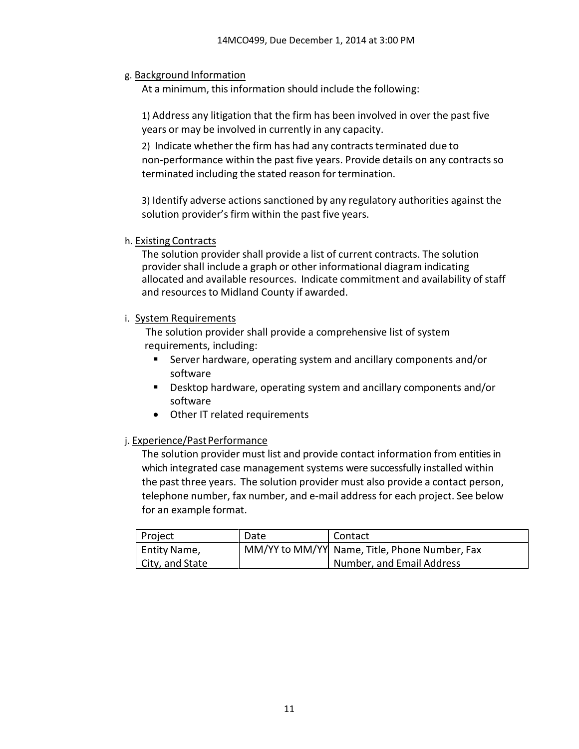### g. Background Information

At a minimum, this information should include the following:

1) Address any litigation that the firm has been involved in over the past five years or may be involved in currently in any capacity.

2) Indicate whether the firm has had any contracts terminated due to non‐performance within the past five years. Provide details on any contracts so terminated including the stated reason for termination.

3) Identify adverse actions sanctioned by any regulatory authorities against the solution provider's firm within the past five years.

#### h. Existing Contracts

The solution provider shall provide a list of current contracts. The solution provider shall include a graph or other informational diagram indicating allocated and available resources. Indicate commitment and availability of staff and resources to Midland County if awarded.

#### i. System Requirements

The solution provider shall provide a comprehensive list of system requirements, including:

- Server hardware, operating system and ancillary components and/or software
- Desktop hardware, operating system and ancillary components and/or software
- Other IT related requirements

#### j. Experience/Past Performance

The solution provider must list and provide contact information from entities in which integrated case management systems were successfully installed within the past three years. The solution provider must also provide a contact person, telephone number, fax number, and e‐mail address for each project. See below for an example format.

| Project         | Date | Contact                                       |
|-----------------|------|-----------------------------------------------|
| Entity Name,    |      | MM/YY to MM/YY Name, Title, Phone Number, Fax |
| City, and State |      | Number, and Email Address                     |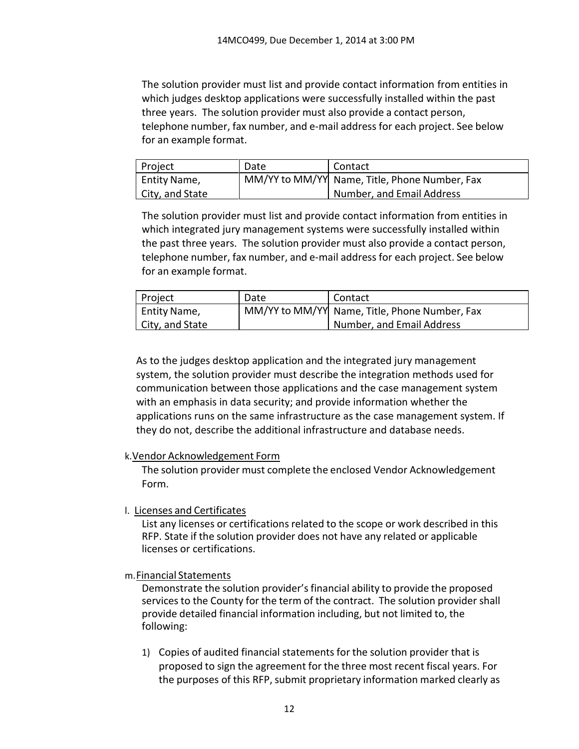The solution provider must list and provide contact information from entities in which judges desktop applications were successfully installed within the past three years. The solution provider must also provide a contact person, telephone number, fax number, and e‐mail address for each project. See below for an example format.

| <b>Project</b>            | Date | Contact                                       |
|---------------------------|------|-----------------------------------------------|
| <sup>1</sup> Entity Name, |      | MM/YY to MM/YY Name, Title, Phone Number, Fax |
| City, and State           |      | Number, and Email Address                     |

The solution provider must list and provide contact information from entities in which integrated jury management systems were successfully installed within the past three years. The solution provider must also provide a contact person, telephone number, fax number, and e‐mail address for each project. See below for an example format.

| Project         | Date | Contact                                       |
|-----------------|------|-----------------------------------------------|
| Entity Name,    |      | MM/YY to MM/YY Name, Title, Phone Number, Fax |
| City, and State |      | Number, and Email Address                     |

As to the judges desktop application and the integrated jury management system, the solution provider must describe the integration methods used for communication between those applications and the case management system with an emphasis in data security; and provide information whether the applications runs on the same infrastructure as the case management system. If they do not, describe the additional infrastructure and database needs.

## k.Vendor Acknowledgement Form

The solution provider must complete the enclosed Vendor Acknowledgement Form.

## l. Licenses and Certificates

List any licenses or certifications related to the scope or work described in this RFP. State if the solution provider does not have any related or applicable licenses or certifications.

m.Financial Statements

Demonstrate the solution provider's financial ability to provide the proposed services to the County for the term of the contract. The solution provider shall provide detailed financial information including, but not limited to, the following:

1) Copies of audited financial statements for the solution provider that is proposed to sign the agreement for the three most recent fiscal years. For the purposes of this RFP, submit proprietary information marked clearly as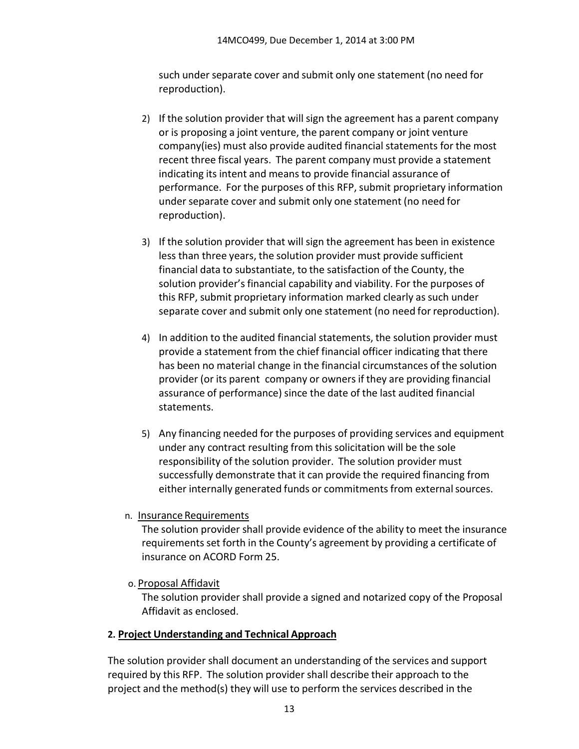such under separate cover and submit only one statement (no need for reproduction).

- 2) If the solution provider that will sign the agreement has a parent company or is proposing a joint venture, the parent company or joint venture company(ies) must also provide audited financial statements for the most recent three fiscal years. The parent company must provide a statement indicating its intent and means to provide financial assurance of performance. For the purposes of this RFP, submit proprietary information under separate cover and submit only one statement (no need for reproduction).
- 3) If the solution provider that will sign the agreement has been in existence less than three years, the solution provider must provide sufficient financial data to substantiate, to the satisfaction of the County, the solution provider's financial capability and viability. For the purposes of this RFP, submit proprietary information marked clearly as such under separate cover and submit only one statement (no need for reproduction).
- 4) In addition to the audited financial statements, the solution provider must provide a statement from the chief financial officer indicating that there has been no material change in the financial circumstances of the solution provider (or its parent company or ownersif they are providing financial assurance of performance) since the date of the last audited financial statements.
- 5) Any financing needed for the purposes of providing services and equipment under any contract resulting from this solicitation will be the sole responsibility of the solution provider. The solution provider must successfully demonstrate that it can provide the required financing from either internally generated funds or commitments from external sources.
- n. Insurance Requirements

The solution provider shall provide evidence of the ability to meet the insurance requirements set forth in the County's agreement by providing a certificate of insurance on ACORD Form 25.

o. Proposal Affidavit

The solution provider shall provide a signed and notarized copy of the Proposal Affidavit as enclosed.

# **2. Project Understanding and Technical Approach**

The solution provider shall document an understanding of the services and support required by this RFP. The solution provider shall describe their approach to the project and the method(s) they will use to perform the services described in the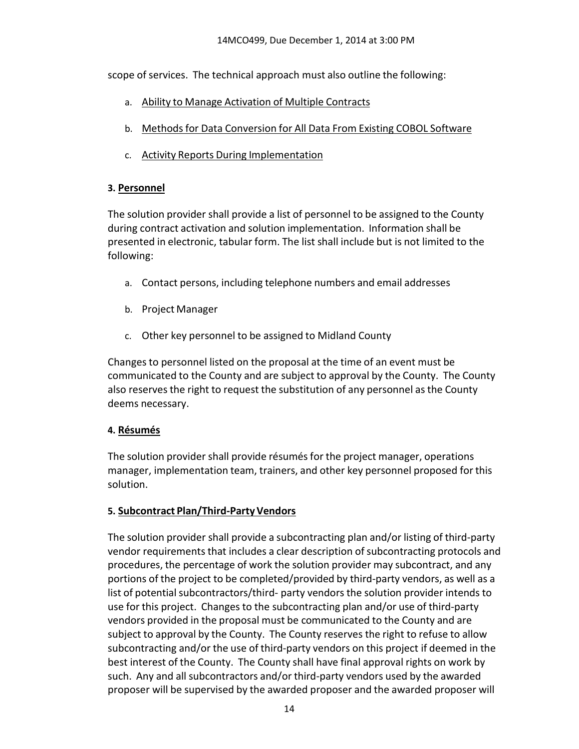scope of services. The technical approach must also outline the following:

- a. Ability to Manage Activation of Multiple Contracts
- b. Methodsfor Data Conversion for All Data From Existing COBOL Software
- c. Activity Reports During Implementation

## **3. Personnel**

The solution provider shall provide a list of personnel to be assigned to the County during contract activation and solution implementation. Information shall be presented in electronic, tabular form. The list shall include but is not limited to the following:

- a. Contact persons, including telephone numbers and email addresses
- b. Project Manager
- c. Other key personnel to be assigned to Midland County

Changesto personnel listed on the proposal at the time of an event must be communicated to the County and are subject to approval by the County. The County also reserves the right to request the substitution of any personnel as the County deems necessary.

# **4. Résumés**

The solution provider shall provide résumés for the project manager, operations manager, implementation team, trainers, and other key personnel proposed for this solution.

# **5. Subcontract Plan/Third‐PartyVendors**

The solution provider shall provide a subcontracting plan and/or listing of third‐party vendor requirements that includes a clear description of subcontracting protocols and procedures, the percentage of work the solution provider may subcontract, and any portions of the project to be completed/provided by third‐party vendors, as well as a list of potential subcontractors/third- party vendors the solution provider intends to use for this project. Changes to the subcontracting plan and/or use of third‐party vendors provided in the proposal must be communicated to the County and are subject to approval by the County. The County reserves the right to refuse to allow subcontracting and/or the use of third‐party vendors on this project if deemed in the best interest of the County. The County shall have final approval rights on work by such. Any and all subcontractors and/or third‐party vendors used by the awarded proposer will be supervised by the awarded proposer and the awarded proposer will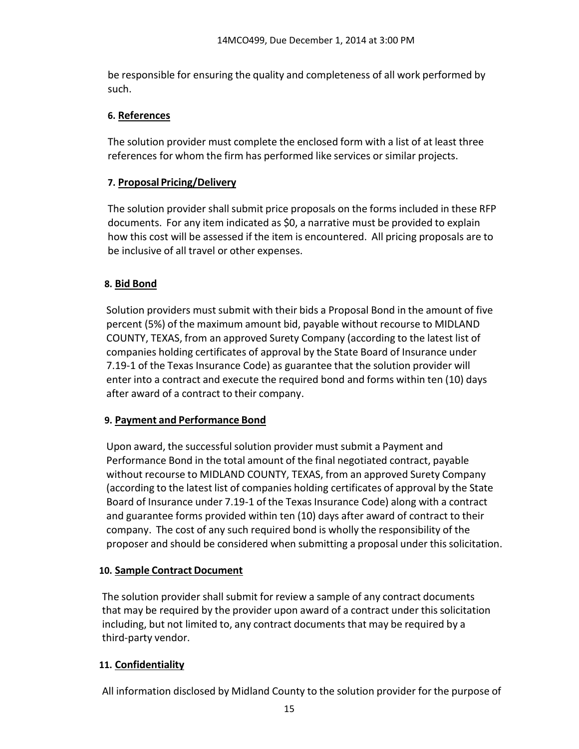be responsible for ensuring the quality and completeness of all work performed by such.

## **6. References**

The solution provider must complete the enclosed form with a list of at least three references for whom the firm has performed like services or similar projects.

## **7. Proposal Pricing/Delivery**

The solution provider shall submit price proposals on the forms included in these RFP documents. For any item indicated as \$0, a narrative must be provided to explain how this cost will be assessed if the item is encountered. All pricing proposals are to be inclusive of all travel or other expenses.

## **8. Bid Bond**

Solution providers mustsubmit with their bids a Proposal Bond in the amount of five percent (5%) of the maximum amount bid, payable without recourse to MIDLAND COUNTY, TEXAS, from an approved Surety Company (according to the latest list of companies holding certificates of approval by the State Board of Insurance under 7.19‐1 of the Texas Insurance Code) as guarantee that the solution provider will enter into a contract and execute the required bond and forms within ten (10) days after award of a contract to their company.

## **9. Payment and Performance Bond**

Upon award, the successful solution provider must submit a Payment and Performance Bond in the total amount of the final negotiated contract, payable without recourse to MIDLAND COUNTY, TEXAS, from an approved Surety Company (according to the latest list of companies holding certificates of approval by the State Board of Insurance under 7.19‐1 of the Texas Insurance Code) along with a contract and guarantee forms provided within ten (10) days after award of contract to their company. The cost of any such required bond is wholly the responsibility of the proposer and should be considered when submitting a proposal under this solicitation.

## **10. Sample Contract Document**

The solution provider shall submit for review a sample of any contract documents that may be required by the provider upon award of a contract under this solicitation including, but not limited to, any contract documents that may be required by a third‐party vendor.

# **11. Confidentiality**

All information disclosed by Midland County to the solution provider for the purpose of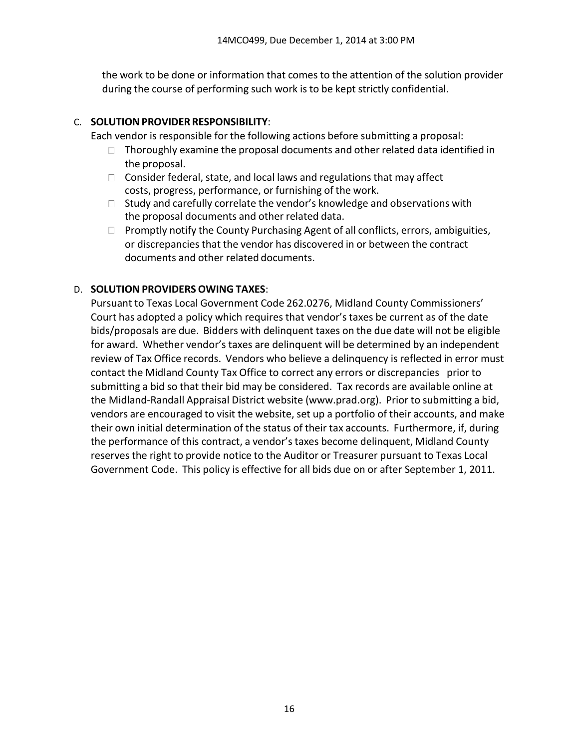the work to be done or information that comes to the attention of the solution provider during the course of performing such work is to be kept strictly confidential.

### C. **SOLUTIONPROVIDER RESPONSIBILITY**:

- Each vendor is responsible for the following actions before submitting a proposal:
	- $\Box$  Thoroughly examine the proposal documents and other related data identified in the proposal.
	- $\Box$  Consider federal, state, and local laws and regulations that may affect costs, progress, performance, or furnishing of the work.
	- $\Box$  Study and carefully correlate the vendor's knowledge and observations with the proposal documents and other related data.
	- $\Box$  Promptly notify the County Purchasing Agent of all conflicts, errors, ambiguities, or discrepancies that the vendor has discovered in or between the contract documents and other related documents.

## D. **SOLUTION PROVIDERS OWING TAXES**:

Pursuant to Texas Local Government Code 262.0276, Midland County Commissioners' Court has adopted a policy which requires that vendor'staxes be current as of the date bids/proposals are due. Bidders with delinquent taxes on the due date will not be eligible for award. Whether vendor's taxes are delinquent will be determined by an independent review of Tax Office records. Vendors who believe a delinquency is reflected in error must contact the Midland County Tax Office to correct any errors or discrepancies prior to submitting a bid so that their bid may be considered. Tax records are available online at the Midland‐Randall Appraisal District website (www.prad.org). Prior to submitting a bid, vendors are encouraged to visit the website, set up a portfolio of their accounts, and make their own initial determination of the status of their tax accounts. Furthermore, if, during the performance of this contract, a vendor'staxes become delinquent, Midland County reserves the right to provide notice to the Auditor or Treasurer pursuant to Texas Local Government Code. This policy is effective for all bids due on or after September 1, 2011.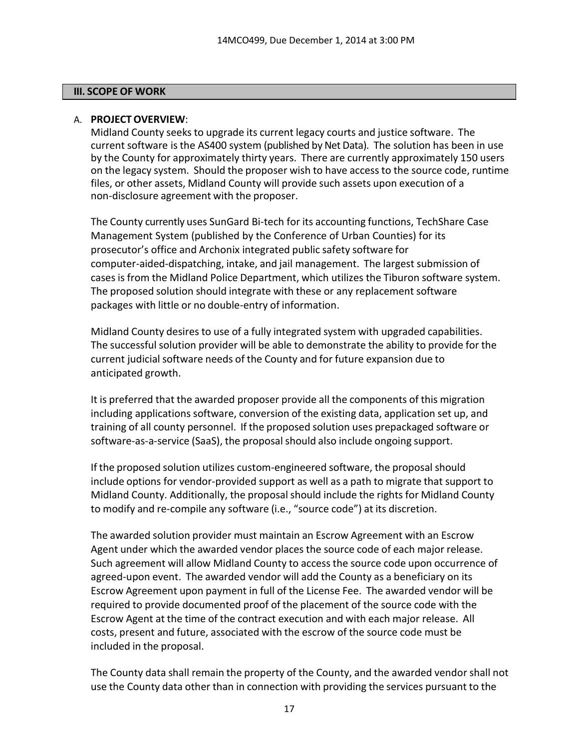#### **III. SCOPE OF WORK**

### A. **PROJECTOVERVIEW**:

Midland County seeks to upgrade its current legacy courts and justice software. The current software is the AS400 system (published by Net Data). The solution has been in use by the County for approximately thirty years. There are currently approximately 150 users on the legacy system. Should the proposer wish to have access to the source code, runtime files, or other assets, Midland County will provide such assets upon execution of a non‐disclosure agreement with the proposer.

The County currently uses SunGard Bi-tech for its accounting functions, TechShare Case Management System (published by the Conference of Urban Counties) for its prosecutor's office and Archonix integrated public safety software for computer‐aided‐dispatching, intake, and jail management. The largest submission of cases is from the Midland Police Department, which utilizes the Tiburon software system. The proposed solution should integrate with these or any replacement software packages with little or no double‐entry of information.

Midland County desires to use of a fully integrated system with upgraded capabilities. The successful solution provider will be able to demonstrate the ability to provide for the current judicial software needs of the County and for future expansion due to anticipated growth.

It is preferred that the awarded proposer provide all the components of this migration including applications software, conversion of the existing data, application set up, and training of all county personnel. If the proposed solution uses prepackaged software or software-as-a-service (SaaS), the proposal should also include ongoing support.

If the proposed solution utilizes custom‐engineered software, the proposal should include options for vendor‐provided support as well as a path to migrate that support to Midland County. Additionally, the proposalshould include the rights for Midland County to modify and re‐compile any software (i.e., "source code") at its discretion.

The awarded solution provider must maintain an Escrow Agreement with an Escrow Agent under which the awarded vendor places the source code of each major release. Such agreement will allow Midland County to access the source code upon occurrence of agreed-upon event. The awarded vendor will add the County as a beneficiary on its Escrow Agreement upon payment in full of the License Fee. The awarded vendor will be required to provide documented proof of the placement of the source code with the Escrow Agent at the time of the contract execution and with each major release. All costs, present and future, associated with the escrow of the source code must be included in the proposal.

The County data shall remain the property of the County, and the awarded vendor shall not use the County data other than in connection with providing the services pursuant to the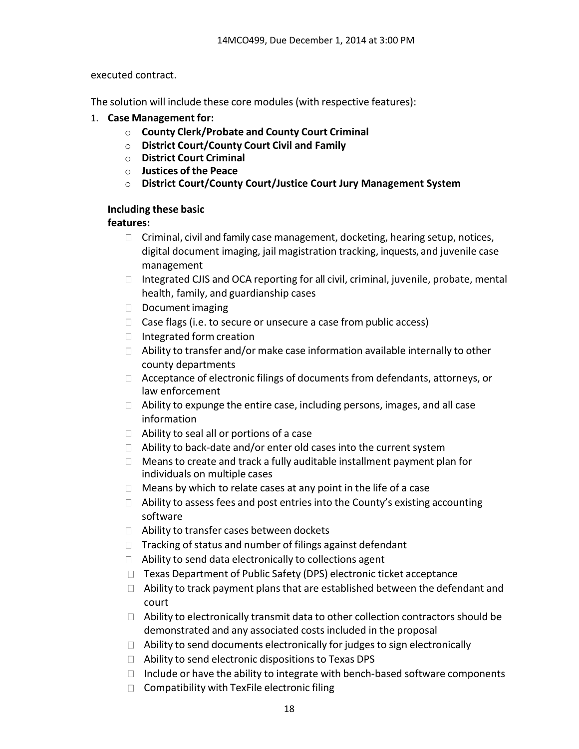executed contract.

The solution will include these core modules (with respective features):

- 1. **Case Management for:**
	- o **County Clerk/Probate and County Court Criminal**
	- o **District Court/County Court Civil and Family**
	- o **District Court Criminal**
	- o **Justices of the Peace**
	- o **District Court/County Court/Justice Court Jury Management System**

### **Including these basic**

### **features:**

- $\Box$  Criminal, civil and family case management, docketing, hearing setup, notices, digital document imaging, jail magistration tracking, inquests, and juvenile case management
- $\Box$  Integrated CJIS and OCA reporting for all civil, criminal, juvenile, probate, mental health, family, and guardianship cases
- $\Box$  Document imaging
- $\Box$  Case flags (i.e. to secure or unsecure a case from public access)
- $\Box$  Integrated form creation
- $\Box$  Ability to transfer and/or make case information available internally to other county departments
- □ Acceptance of electronic filings of documents from defendants, attorneys, or law enforcement
- $\Box$  Ability to expunge the entire case, including persons, images, and all case information
- $\Box$  Ability to seal all or portions of a case
- □ Ability to back-date and/or enter old cases into the current system
- $\Box$  Means to create and track a fully auditable installment payment plan for individuals on multiple cases
- $\Box$  Means by which to relate cases at any point in the life of a case
- $\Box$  Ability to assess fees and post entries into the County's existing accounting software
- □ Ability to transfer cases between dockets
- $\Box$  Tracking of status and number of filings against defendant
- $\Box$  Ability to send data electronically to collections agent
- $\Box$  Texas Department of Public Safety (DPS) electronic ticket acceptance
- $\Box$  Ability to track payment plans that are established between the defendant and court
- $\Box$  Ability to electronically transmit data to other collection contractors should be demonstrated and any associated costs included in the proposal
- $\Box$  Ability to send documents electronically for judges to sign electronically
- $\Box$  Ability to send electronic dispositions to Texas DPS
- $\Box$  Include or have the ability to integrate with bench-based software components
- $\Box$  Compatibility with TexFile electronic filing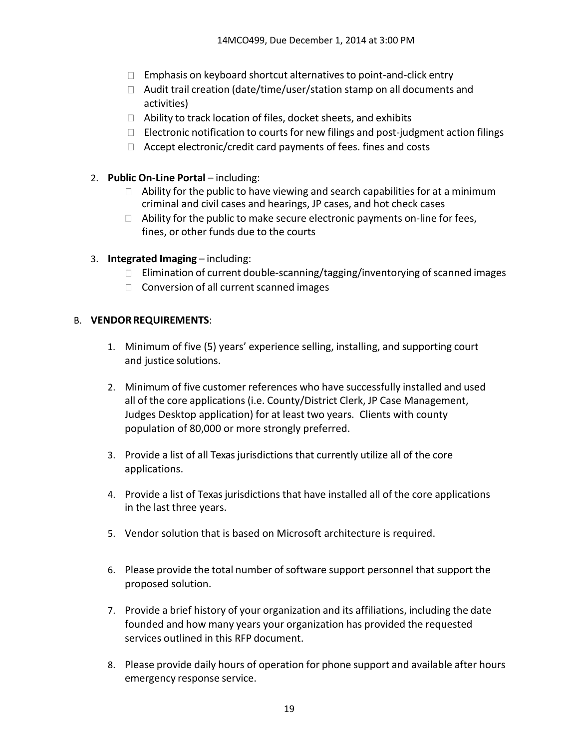- $\Box$  Emphasis on keyboard shortcut alternatives to point-and-click entry
- $\Box$  Audit trail creation (date/time/user/station stamp on all documents and activities)
- $\Box$  Ability to track location of files, docket sheets, and exhibits
- $□$  Electronic notification to courts for new filings and post-judgment action filings
- $\Box$  Accept electronic/credit card payments of fees. fines and costs
- 2. **Public On‐Line Portal** including:
	- $\Box$  Ability for the public to have viewing and search capabilities for at a minimum criminal and civil cases and hearings, JP cases, and hot check cases
	- $\Box$  Ability for the public to make secure electronic payments on-line for fees, fines, or other funds due to the courts
- 3. **Integrated Imaging** including:
	- □ Elimination of current double-scanning/tagging/inventorying of scanned images
	- $\Box$  Conversion of all current scanned images

## B. **VENDORREQUIREMENTS**:

- 1. Minimum of five (5) years' experience selling, installing, and supporting court and justice solutions.
- 2. Minimum of five customer references who have successfully installed and used all of the core applications (i.e. County/District Clerk, JP Case Management, Judges Desktop application) for at least two years. Clients with county population of 80,000 or more strongly preferred.
- 3. Provide a list of all Texas jurisdictions that currently utilize all of the core applications.
- 4. Provide a list of Texas jurisdictions that have installed all of the core applications in the last three years.
- 5. Vendor solution that is based on Microsoft architecture is required.
- 6. Please provide the total number of software support personnel that support the proposed solution.
- 7. Provide a brief history of your organization and its affiliations, including the date founded and how many years your organization has provided the requested services outlined in this RFP document.
- 8. Please provide daily hours of operation for phone support and available after hours emergency response service.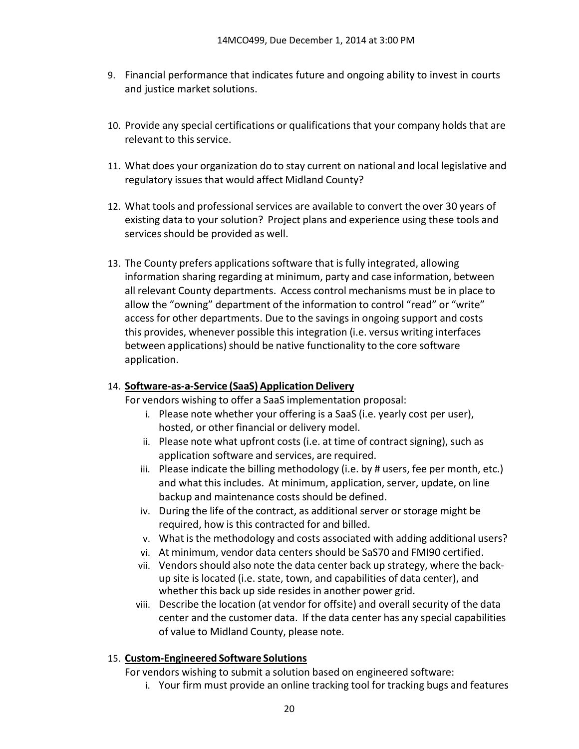- 9. Financial performance that indicates future and ongoing ability to invest in courts and justice market solutions.
- 10. Provide any special certifications or qualifications that your company holds that are relevant to this service.
- 11. What does your organization do to stay current on national and local legislative and regulatory issues that would affect Midland County?
- 12. What tools and professional services are available to convert the over 30 years of existing data to your solution? Project plans and experience using these tools and services should be provided as well.
- 13. The County prefers applications software that is fully integrated, allowing information sharing regarding at minimum, party and case information, between all relevant County departments. Access control mechanisms must be in place to allow the "owning" department of the information to control "read" or "write" access for other departments. Due to the savings in ongoing support and costs this provides, whenever possible this integration (i.e. versus writing interfaces between applications) should be native functionality to the core software application.

## 14. **Software‐as‐a‐Service (SaaS) ApplicationDelivery**

For vendors wishing to offer a SaaS implementation proposal:

- i. Please note whether your offering is a SaaS (i.e. yearly cost per user), hosted, or other financial or delivery model.
- ii. Please note what upfront costs (i.e. at time of contract signing), such as application software and services, are required.
- iii. Please indicate the billing methodology (i.e. by # users, fee per month, etc.) and what this includes. At minimum, application, server, update, on line backup and maintenance costs should be defined.
- iv. During the life of the contract, as additional server or storage might be required, how is this contracted for and billed.
- v. What isthe methodology and costs associated with adding additional users?
- vi. At minimum, vendor data centers should be SaS70 and FMI90 certified.
- vii. Vendors should also note the data center back up strategy, where the back‐ up site is located (i.e. state, town, and capabilities of data center), and whether this back up side resides in another power grid.
- viii. Describe the location (at vendor for offsite) and overall security of the data center and the customer data. If the data center has any special capabilities of value to Midland County, please note.

## 15. **Custom‐Engineered Software Solutions**

For vendors wishing to submit a solution based on engineered software:

i. Your firm must provide an online tracking tool for tracking bugs and features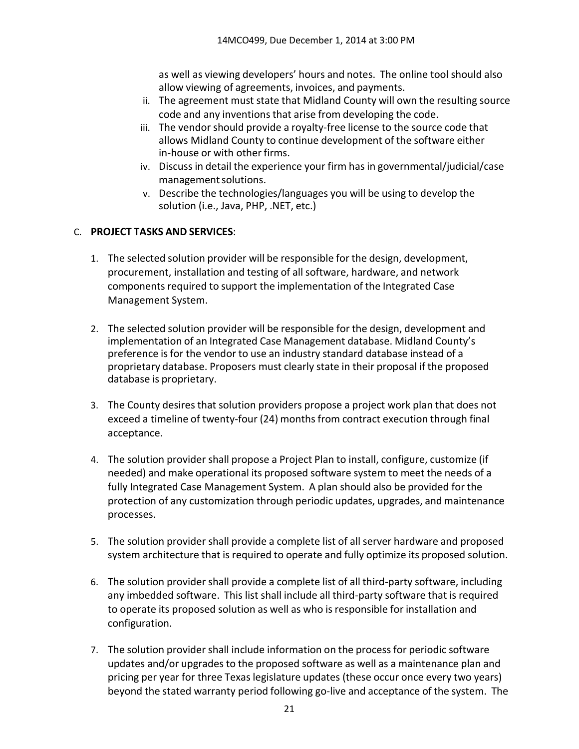as well as viewing developers' hours and notes. The online tool should also allow viewing of agreements, invoices, and payments.

- ii. The agreement must state that Midland County will own the resulting source code and any inventions that arise from developing the code.
- iii. The vendor should provide a royalty‐free license to the source code that allows Midland County to continue development of the software either in‐house or with other firms.
- iv. Discuss in detail the experience your firm has in governmental/judicial/case management solutions.
- v. Describe the technologies/languages you will be using to develop the solution (i.e., Java, PHP, .NET, etc.)

## C. **PROJECT TASKS AND SERVICES**:

- 1. The selected solution provider will be responsible for the design, development, procurement, installation and testing of all software, hardware, and network components required to support the implementation of the Integrated Case Management System.
- 2. The selected solution provider will be responsible for the design, development and implementation of an Integrated Case Management database. Midland County's preference is for the vendor to use an industry standard database instead of a proprietary database. Proposers must clearly state in their proposal if the proposed database is proprietary.
- 3. The County desires that solution providers propose a project work plan that does not exceed a timeline of twenty-four (24) months from contract execution through final acceptance.
- 4. The solution provider shall propose a Project Plan to install, configure, customize (if needed) and make operational its proposed software system to meet the needs of a fully Integrated Case Management System. A plan should also be provided for the protection of any customization through periodic updates, upgrades, and maintenance processes.
- 5. The solution provider shall provide a complete list of all server hardware and proposed system architecture that is required to operate and fully optimize its proposed solution.
- 6. The solution provider shall provide a complete list of all third-party software, including any imbedded software. This list shall include all third‐party software that is required to operate its proposed solution as well as who isresponsible for installation and configuration.
- 7. The solution provider shall include information on the processfor periodic software updates and/or upgrades to the proposed software as well as a maintenance plan and pricing per year for three Texas legislature updates (these occur once every two years) beyond the stated warranty period following go‐live and acceptance of the system. The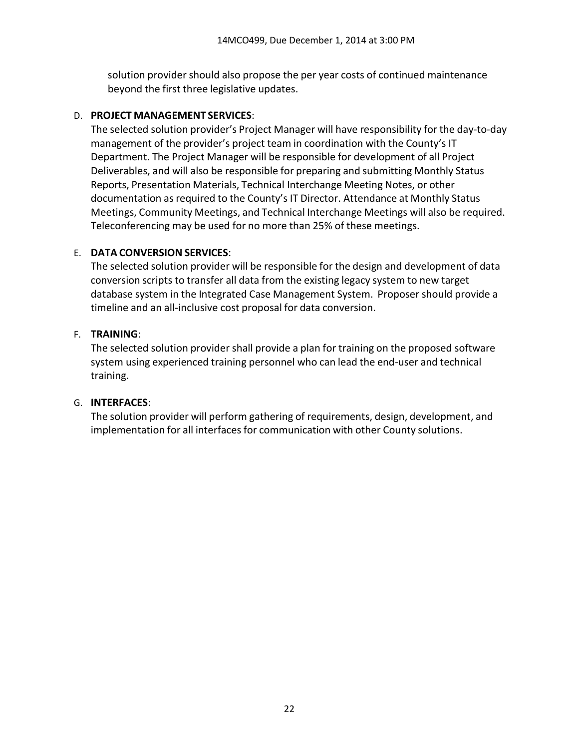solution provider should also propose the per year costs of continued maintenance beyond the first three legislative updates.

### D. **PROJECT MANAGEMENT SERVICES**:

The selected solution provider's Project Manager will have responsibility for the day‐to‐day management of the provider's project team in coordination with the County's IT Department. The Project Manager will be responsible for development of all Project Deliverables, and will also be responsible for preparing and submitting Monthly Status Reports, Presentation Materials, Technical Interchange Meeting Notes, or other documentation asrequired to the County's IT Director. Attendance at Monthly Status Meetings, Community Meetings, and Technical Interchange Meetings will also be required. Teleconferencing may be used for no more than 25% of these meetings.

## E. **DATA CONVERSION SERVICES**:

The selected solution provider will be responsible for the design and development of data conversion scripts to transfer all data from the existing legacy system to new target database system in the Integrated Case Management System. Proposer should provide a timeline and an all‐inclusive cost proposal for data conversion.

### F. **TRAINING**:

The selected solution provider shall provide a plan for training on the proposed software system using experienced training personnel who can lead the end‐user and technical training.

## G. **INTERFACES**:

The solution provider will perform gathering of requirements, design, development, and implementation for all interfaces for communication with other County solutions.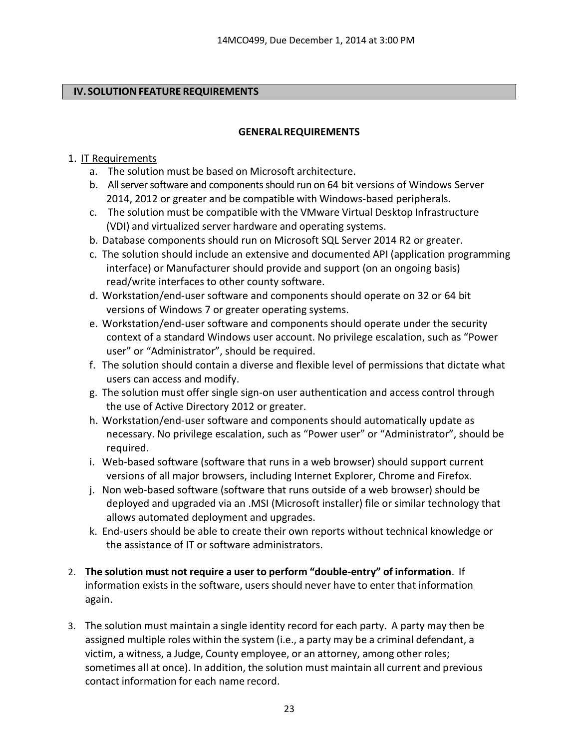## **IV. SOLUTION FEATURE REQUIREMENTS**

### **GENERALREQUIREMENTS**

## 1. IT Requirements

- a. The solution must be based on Microsoft architecture.
- b. All server software and components should run on 64 bit versions of Windows Server 2014, 2012 or greater and be compatible with Windows‐based peripherals.
- c. The solution must be compatible with the VMware Virtual Desktop Infrastructure (VDI) and virtualized server hardware and operating systems.
- b. Database components should run on Microsoft SQL Server 2014 R2 or greater.
- c. The solution should include an extensive and documented API (application programming interface) or Manufacturer should provide and support (on an ongoing basis) read/write interfaces to other county software.
- d. Workstation/end-user software and components should operate on 32 or 64 bit versions of Windows 7 or greater operating systems.
- e. Workstation/end-user software and components should operate under the security context of a standard Windows user account. No privilege escalation, such as "Power user" or "Administrator", should be required.
- f. The solution should contain a diverse and flexible level of permissions that dictate what users can access and modify.
- g. The solution must offer single sign-on user authentication and access control through the use of Active Directory 2012 or greater.
- h. Workstation/end-user software and components should automatically update as necessary. No privilege escalation, such as "Power user" or "Administrator", should be required.
- i. Web-based software (software that runs in a web browser) should support current versions of all major browsers, including Internet Explorer, Chrome and Firefox.
- j. Non web-based software (software that runs outside of a web browser) should be deployed and upgraded via an .MSI (Microsoft installer) file or similar technology that allows automated deployment and upgrades.
- k. End-users should be able to create their own reports without technical knowledge or the assistance of IT or software administrators.
- 2. **The solution must not require a user to perform "double‐entry" of information**. If information exists in the software, users should never have to enter that information again.
- 3. The solution must maintain a single identity record for each party. A party may then be assigned multiple roles within the system (i.e., a party may be a criminal defendant, a victim, a witness, a Judge, County employee, or an attorney, among other roles; sometimes all at once). In addition, the solution must maintain all current and previous contact information for each name record.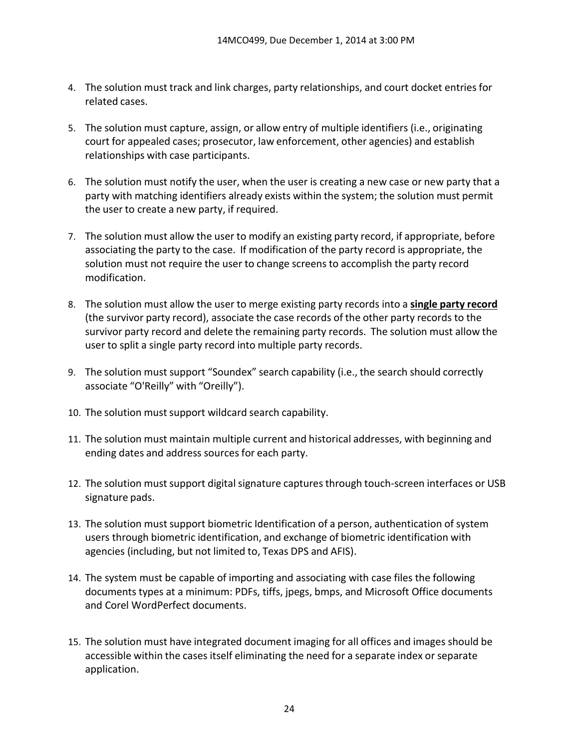- 4. The solution must track and link charges, party relationships, and court docket entries for related cases.
- 5. The solution must capture, assign, or allow entry of multiple identifiers (i.e., originating court for appealed cases; prosecutor, law enforcement, other agencies) and establish relationships with case participants.
- 6. The solution must notify the user, when the user is creating a new case or new party that a party with matching identifiers already exists within the system; the solution must permit the user to create a new party, if required.
- 7. The solution must allow the user to modify an existing party record, if appropriate, before associating the party to the case. If modification of the party record is appropriate, the solution must not require the user to change screensto accomplish the party record modification.
- 8. The solution must allow the user to merge existing party records into a **single party record** (the survivor party record), associate the case records of the other party records to the survivor party record and delete the remaining party records. The solution must allow the user to split a single party record into multiple party records.
- 9. The solution must support "Soundex" search capability (i.e., the search should correctly associate "O'Reilly" with "Oreilly").
- 10. The solution must support wildcard search capability.
- 11. The solution must maintain multiple current and historical addresses, with beginning and ending dates and address sources for each party.
- 12. The solution must support digital signature captures through touch-screen interfaces or USB signature pads.
- 13. The solution must support biometric Identification of a person, authentication of system users through biometric identification, and exchange of biometric identification with agencies (including, but not limited to, Texas DPS and AFIS).
- 14. The system must be capable of importing and associating with case files the following documents types at a minimum: PDFs, tiffs, jpegs, bmps, and Microsoft Office documents and Corel WordPerfect documents.
- 15. The solution must have integrated document imaging for all offices and images should be accessible within the cases itself eliminating the need for a separate index or separate application.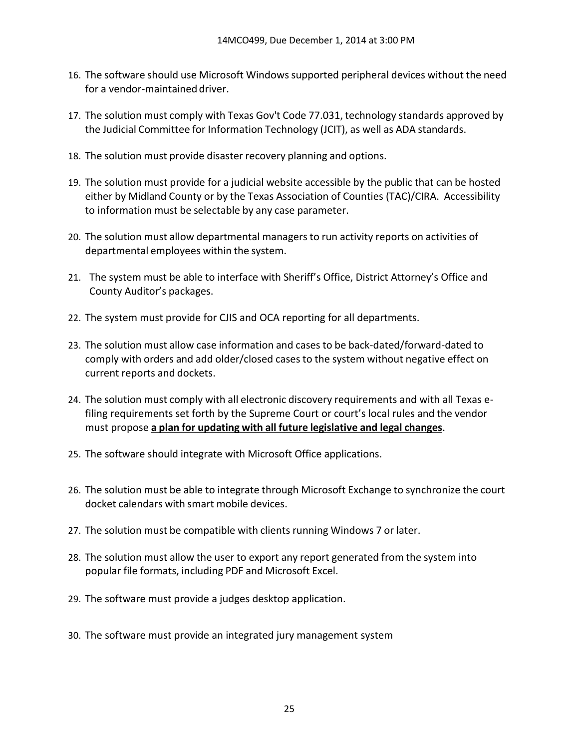- 16. The software should use Microsoft Windows supported peripheral devices without the need for a vendor-maintained driver.
- 17. The solution must comply with Texas Gov't Code 77.031, technology standards approved by the Judicial Committee for Information Technology (JCIT), as well as ADA standards.
- 18. The solution must provide disaster recovery planning and options.
- 19. The solution must provide for a judicial website accessible by the public that can be hosted either by Midland County or by the Texas Association of Counties (TAC)/CIRA. Accessibility to information must be selectable by any case parameter.
- 20. The solution must allow departmental managersto run activity reports on activities of departmental employees within the system.
- 21. The system must be able to interface with Sheriff's Office, District Attorney's Office and County Auditor's packages.
- 22. The system must provide for CJIS and OCA reporting for all departments.
- 23. The solution must allow case information and cases to be back‐dated/forward‐dated to comply with orders and add older/closed cases to the system without negative effect on current reports and dockets.
- 24. The solution must comply with all electronic discovery requirements and with all Texas efiling requirements set forth by the Supreme Court or court's local rules and the vendor must propose **a plan for updating with all future legislative and legal changes**.
- 25. The software should integrate with Microsoft Office applications.
- 26. The solution must be able to integrate through Microsoft Exchange to synchronize the court docket calendars with smart mobile devices.
- 27. The solution must be compatible with clients running Windows 7 or later.
- 28. The solution must allow the user to export any report generated from the system into popular file formats, including PDF and Microsoft Excel.
- 29. The software must provide a judges desktop application.
- 30. The software must provide an integrated jury management system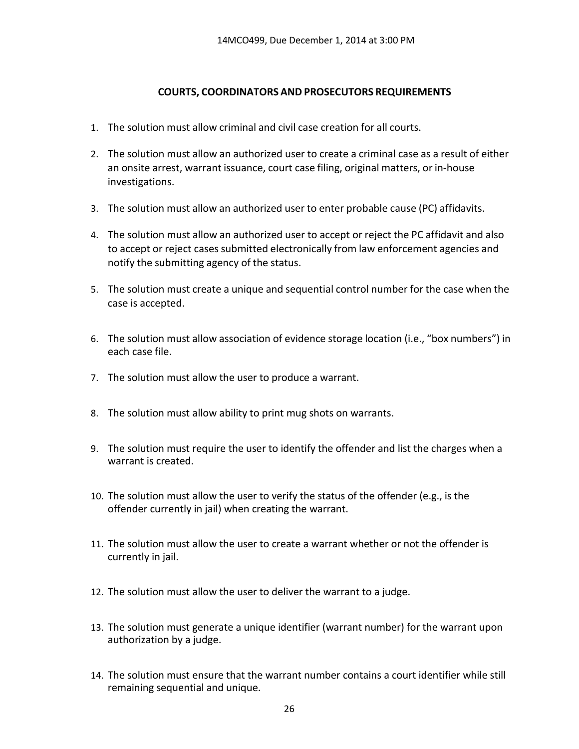### **COURTS, COORDINATORS AND PROSECUTORS REQUIREMENTS**

- 1. The solution must allow criminal and civil case creation for all courts.
- 2. The solution must allow an authorized user to create a criminal case as a result of either an onsite arrest, warrant issuance, court case filing, original matters, or in‐house investigations.
- 3. The solution must allow an authorized user to enter probable cause (PC) affidavits.
- 4. The solution must allow an authorized user to accept or reject the PC affidavit and also to accept or reject cases submitted electronically from law enforcement agencies and notify the submitting agency of the status.
- 5. The solution must create a unique and sequential control number for the case when the case is accepted.
- 6. The solution must allow association of evidence storage location (i.e., "box numbers") in each case file.
- 7. The solution must allow the user to produce a warrant.
- 8. The solution must allow ability to print mug shots on warrants.
- 9. The solution must require the user to identify the offender and list the charges when a warrant is created.
- 10. The solution must allow the user to verify the status of the offender (e.g., is the offender currently in jail) when creating the warrant.
- 11. The solution must allow the user to create a warrant whether or not the offender is currently in jail.
- 12. The solution must allow the user to deliver the warrant to a judge.
- 13. The solution must generate a unique identifier (warrant number) for the warrant upon authorization by a judge.
- 14. The solution must ensure that the warrant number contains a court identifier while still remaining sequential and unique.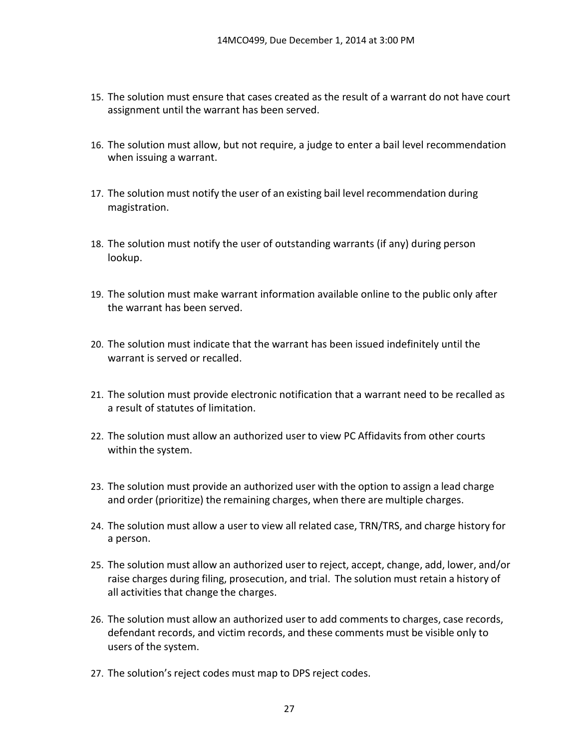- 15. The solution must ensure that cases created as the result of a warrant do not have court assignment until the warrant has been served.
- 16. The solution must allow, but not require, a judge to enter a bail level recommendation when issuing a warrant.
- 17. The solution must notify the user of an existing bail level recommendation during magistration.
- 18. The solution must notify the user of outstanding warrants (if any) during person lookup.
- 19. The solution must make warrant information available online to the public only after the warrant has been served.
- 20. The solution must indicate that the warrant has been issued indefinitely until the warrant is served or recalled.
- 21. The solution must provide electronic notification that a warrant need to be recalled as a result of statutes of limitation.
- 22. The solution must allow an authorized user to view PC Affidavits from other courts within the system.
- 23. The solution must provide an authorized user with the option to assign a lead charge and order (prioritize) the remaining charges, when there are multiple charges.
- 24. The solution must allow a user to view all related case, TRN/TRS, and charge history for a person.
- 25. The solution must allow an authorized user to reject, accept, change, add, lower, and/or raise charges during filing, prosecution, and trial. The solution must retain a history of all activities that change the charges.
- 26. The solution must allow an authorized user to add comments to charges, case records, defendant records, and victim records, and these comments must be visible only to users of the system.
- 27. The solution's reject codes must map to DPS reject codes.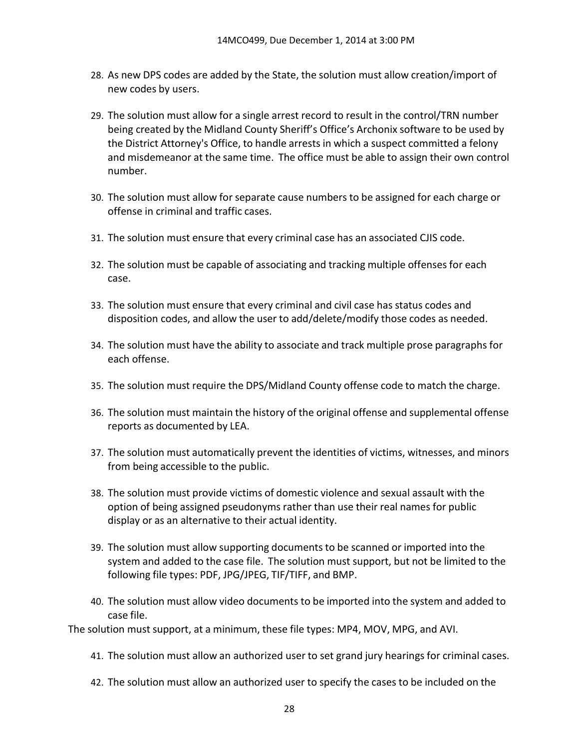- 28. As new DPS codes are added by the State, the solution must allow creation/import of new codes by users.
- 29. The solution must allow for a single arrest record to result in the control/TRN number being created by the Midland County Sheriff's Office's Archonix software to be used by the District Attorney's Office, to handle arrests in which a suspect committed a felony and misdemeanor at the same time. The office must be able to assign their own control number.
- 30. The solution must allow for separate cause numbers to be assigned for each charge or offense in criminal and traffic cases.
- 31. The solution must ensure that every criminal case has an associated CJIS code.
- 32. The solution must be capable of associating and tracking multiple offenses for each case.
- 33. The solution must ensure that every criminal and civil case has status codes and disposition codes, and allow the user to add/delete/modify those codes as needed.
- 34. The solution must have the ability to associate and track multiple prose paragraphs for each offense.
- 35. The solution must require the DPS/Midland County offense code to match the charge.
- 36. The solution must maintain the history of the original offense and supplemental offense reports as documented by LEA.
- 37. The solution must automatically prevent the identities of victims, witnesses, and minors from being accessible to the public.
- 38. The solution must provide victims of domestic violence and sexual assault with the option of being assigned pseudonyms rather than use their real names for public display or as an alternative to their actual identity.
- 39. The solution must allow supporting documents to be scanned or imported into the system and added to the case file. The solution must support, but not be limited to the following file types: PDF, JPG/JPEG, TIF/TIFF, and BMP.
- 40. The solution must allow video documents to be imported into the system and added to case file.

The solution must support, at a minimum, these file types: MP4, MOV, MPG, and AVI.

- 41. The solution must allow an authorized user to set grand jury hearings for criminal cases.
- 42. The solution must allow an authorized user to specify the cases to be included on the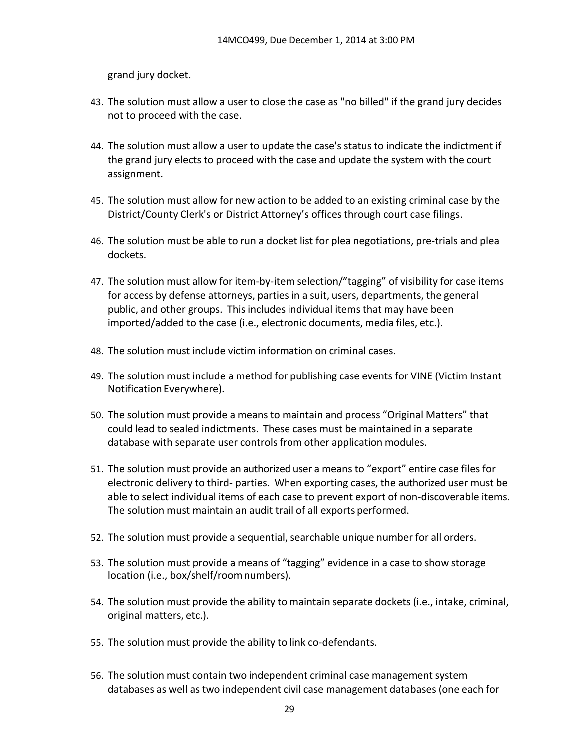grand jury docket.

- 43. The solution must allow a user to close the case as "no billed" if the grand jury decides not to proceed with the case.
- 44. The solution must allow a user to update the case's status to indicate the indictment if the grand jury elects to proceed with the case and update the system with the court assignment.
- 45. The solution must allow for new action to be added to an existing criminal case by the District/County Clerk's or District Attorney's offices through court case filings.
- 46. The solution must be able to run a docket list for plea negotiations, pre‐trials and plea dockets.
- 47. The solution must allow for item-by-item selection/"tagging" of visibility for case items for access by defense attorneys, parties in a suit, users, departments, the general public, and other groups. This includes individual items that may have been imported/added to the case (i.e., electronic documents, media files, etc.).
- 48. The solution must include victim information on criminal cases.
- 49. The solution must include a method for publishing case events for VINE (Victim Instant Notification Everywhere).
- 50. The solution must provide a means to maintain and process "Original Matters" that could lead to sealed indictments. These cases must be maintained in a separate database with separate user controls from other application modules.
- 51. The solution must provide an authorized user a means to "export" entire case files for electronic delivery to third‐ parties. When exporting cases, the authorized user must be able to select individual items of each case to prevent export of non‐discoverable items. The solution must maintain an audit trail of all exports performed.
- 52. The solution must provide a sequential, searchable unique number for all orders.
- 53. The solution must provide a means of "tagging" evidence in a case to show storage location (i.e., box/shelf/roomnumbers).
- 54. The solution must provide the ability to maintain separate dockets (i.e., intake, criminal, original matters, etc.).
- 55. The solution must provide the ability to link co-defendants.
- 56. The solution must contain two independent criminal case management system databases as well as two independent civil case management databases (one each for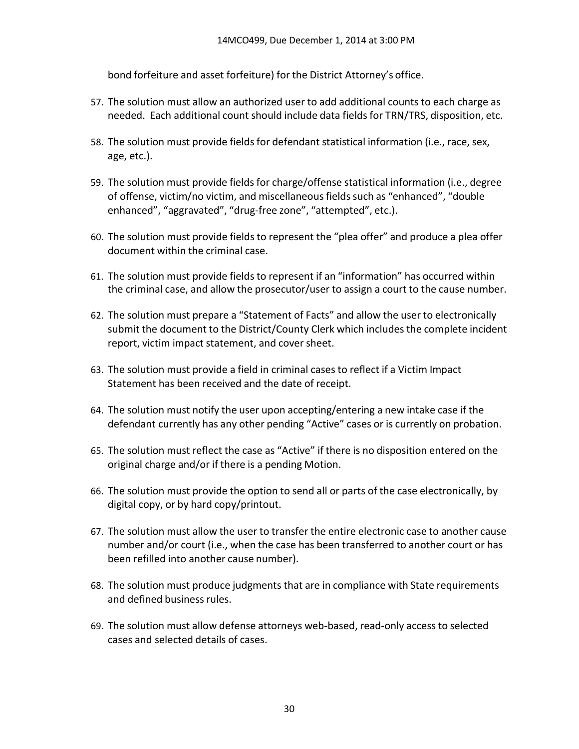bond forfeiture and asset forfeiture) for the District Attorney's office.

- 57. The solution must allow an authorized user to add additional counts to each charge as needed. Each additional count should include data fields for TRN/TRS, disposition, etc.
- 58. The solution must provide fields for defendant statistical information (i.e., race, sex, age, etc.).
- 59. The solution must provide fields for charge/offense statistical information (i.e., degree of offense, victim/no victim, and miscellaneousfieldssuch as "enhanced", "double enhanced", "aggravated", "drug‐free zone", "attempted", etc.).
- 60. The solution must provide fields to represent the "plea offer" and produce a plea offer document within the criminal case.
- 61. The solution must provide fields to represent if an "information" has occurred within the criminal case, and allow the prosecutor/user to assign a court to the cause number.
- 62. The solution must prepare a "Statement of Facts" and allow the user to electronically submit the document to the District/County Clerk which includes the complete incident report, victim impact statement, and cover sheet.
- 63. The solution must provide a field in criminal cases to reflect if a Victim Impact Statement has been received and the date of receipt.
- 64. The solution must notify the user upon accepting/entering a new intake case if the defendant currently has any other pending "Active" cases or is currently on probation.
- 65. The solution must reflect the case as "Active" if there is no disposition entered on the original charge and/or if there is a pending Motion.
- 66. The solution must provide the option to send all or parts of the case electronically, by digital copy, or by hard copy/printout.
- 67. The solution must allow the user to transfer the entire electronic case to another cause number and/or court (i.e., when the case has been transferred to another court or has been refilled into another cause number).
- 68. The solution must produce judgments that are in compliance with State requirements and defined business rules.
- 69. The solution must allow defense attorneys web‐based, read‐only access to selected cases and selected details of cases.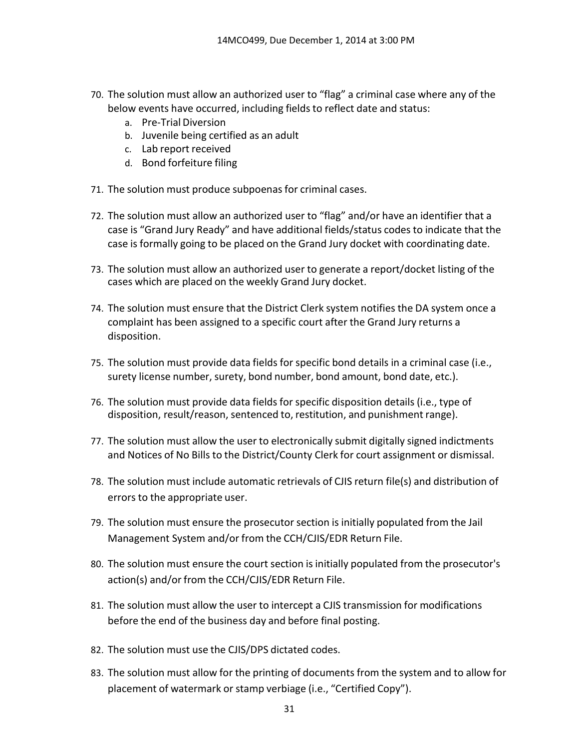- 70. The solution must allow an authorized user to "flag" a criminal case where any of the below events have occurred, including fields to reflect date and status:
	- a. Pre-Trial Diversion
	- b. Juvenile being certified as an adult
	- c. Lab report received
	- d. Bond forfeiture filing
- 71. The solution must produce subpoenas for criminal cases.
- 72. The solution must allow an authorized user to "flag" and/or have an identifier that a case is "Grand Jury Ready" and have additional fields/status codes to indicate that the case is formally going to be placed on the Grand Jury docket with coordinating date.
- 73. The solution must allow an authorized user to generate a report/docket listing of the cases which are placed on the weekly Grand Jury docket.
- 74. The solution must ensure that the District Clerk system notifies the DA system once a complaint has been assigned to a specific court after the Grand Jury returns a disposition.
- 75. The solution must provide data fields for specific bond details in a criminal case (i.e., surety license number, surety, bond number, bond amount, bond date, etc.).
- 76. The solution must provide data fields for specific disposition details (i.e., type of disposition, result/reason, sentenced to, restitution, and punishment range).
- 77. The solution must allow the user to electronically submit digitally signed indictments and Notices of No Bills to the District/County Clerk for court assignment or dismissal.
- 78. The solution must include automatic retrievals of CJIS return file(s) and distribution of errors to the appropriate user.
- 79. The solution must ensure the prosecutor section is initially populated from the Jail Management System and/or from the CCH/CJIS/EDR Return File.
- 80. The solution must ensure the court section is initially populated from the prosecutor's action(s) and/or from the CCH/CJIS/EDR Return File.
- 81. The solution must allow the user to intercept a CJIS transmission for modifications before the end of the business day and before final posting.
- 82. The solution must use the CJIS/DPS dictated codes.
- 83. The solution must allow for the printing of documents from the system and to allow for placement of watermark or stamp verbiage (i.e., "Certified Copy").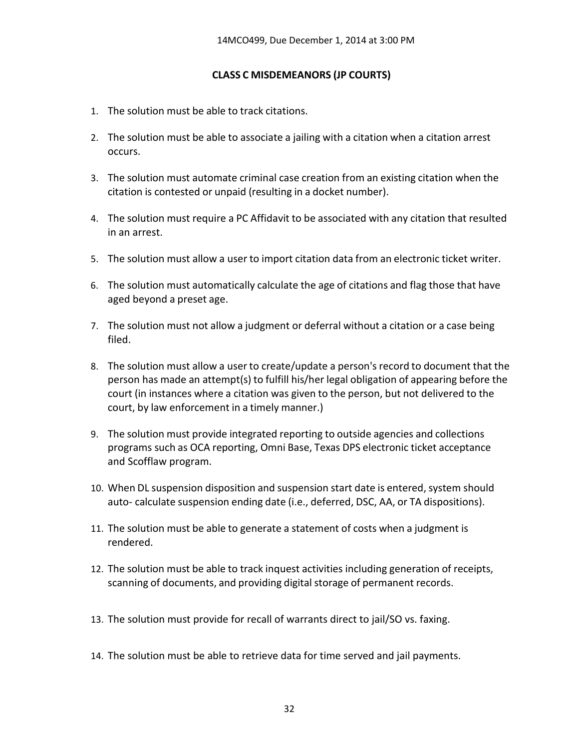### **CLASS C MISDEMEANORS (JP COURTS)**

- 1. The solution must be able to track citations.
- 2. The solution must be able to associate a jailing with a citation when a citation arrest occurs.
- 3. The solution must automate criminal case creation from an existing citation when the citation is contested or unpaid (resulting in a docket number).
- 4. The solution must require a PC Affidavit to be associated with any citation that resulted in an arrest.
- 5. The solution must allow a user to import citation data from an electronic ticket writer.
- 6. The solution must automatically calculate the age of citations and flag those that have aged beyond a preset age.
- 7. The solution must not allow a judgment or deferral without a citation or a case being filed.
- 8. The solution must allow a user to create/update a person's record to document that the person has made an attempt(s) to fulfill his/her legal obligation of appearing before the court (in instances where a citation was given to the person, but not delivered to the court, by law enforcement in a timely manner.)
- 9. The solution must provide integrated reporting to outside agencies and collections programs such as OCA reporting, Omni Base, Texas DPS electronic ticket acceptance and Scofflaw program.
- 10. When DL suspension disposition and suspension start date is entered, system should auto-calculate suspension ending date (i.e., deferred, DSC, AA, or TA dispositions).
- 11. The solution must be able to generate a statement of costs when a judgment is rendered.
- 12. The solution must be able to track inquest activities including generation of receipts, scanning of documents, and providing digital storage of permanent records.
- 13. The solution must provide for recall of warrants direct to jail/SO vs. faxing.
- 14. The solution must be able to retrieve data for time served and jail payments.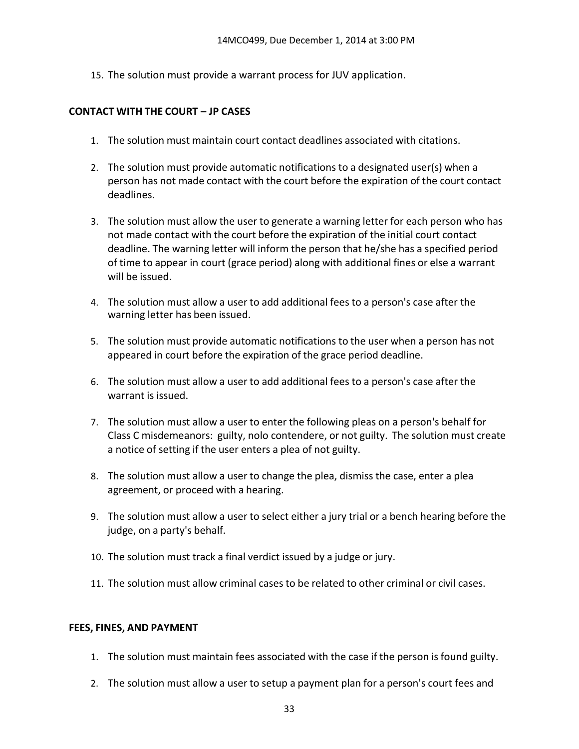15. The solution must provide a warrant process for JUV application.

### **CONTACT WITH THE COURT – JP CASES**

- 1. The solution must maintain court contact deadlines associated with citations.
- 2. The solution must provide automatic notifications to a designated user(s) when a person has not made contact with the court before the expiration of the court contact deadlines.
- 3. The solution must allow the user to generate a warning letter for each person who has not made contact with the court before the expiration of the initial court contact deadline. The warning letter will inform the person that he/she has a specified period of time to appear in court (grace period) along with additional fines or else a warrant will be issued.
- 4. The solution must allow a user to add additional fees to a person's case after the warning letter has been issued.
- 5. The solution must provide automatic notifications to the user when a person has not appeared in court before the expiration of the grace period deadline.
- 6. The solution must allow a user to add additional fees to a person's case after the warrant is issued.
- 7. The solution must allow a user to enter the following pleas on a person's behalf for Class C misdemeanors: guilty, nolo contendere, or not guilty. The solution must create a notice of setting if the user enters a plea of not guilty.
- 8. The solution must allow a user to change the plea, dismiss the case, enter a plea agreement, or proceed with a hearing.
- 9. The solution must allow a user to select either a jury trial or a bench hearing before the judge, on a party's behalf.
- 10. The solution must track a final verdict issued by a judge or jury.
- 11. The solution must allow criminal cases to be related to other criminal or civil cases.

#### **FEES, FINES, AND PAYMENT**

- 1. The solution must maintain fees associated with the case if the person isfound guilty.
- 2. The solution must allow a user to setup a payment plan for a person's court fees and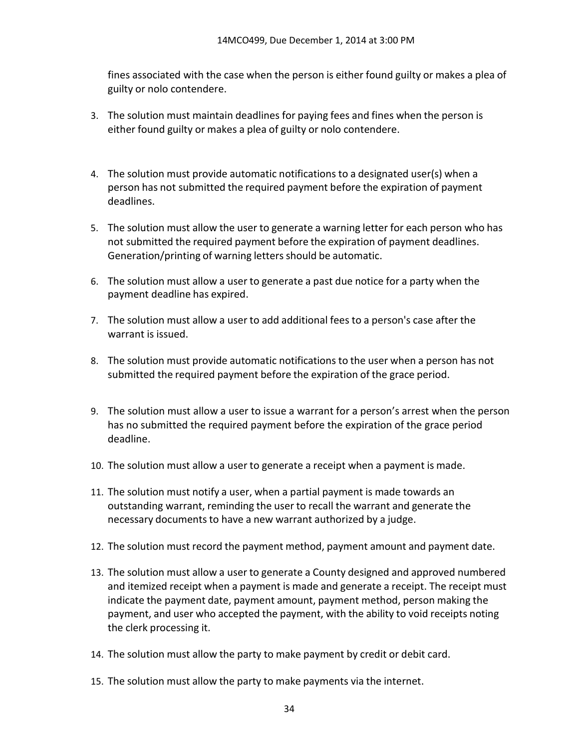fines associated with the case when the person is either found guilty or makes a plea of guilty or nolo contendere.

- 3. The solution must maintain deadlines for paying fees and fines when the person is either found guilty or makes a plea of guilty or nolo contendere.
- 4. The solution must provide automatic notifications to a designated user(s) when a person has not submitted the required payment before the expiration of payment deadlines.
- 5. The solution must allow the user to generate a warning letter for each person who has not submitted the required payment before the expiration of payment deadlines. Generation/printing of warning letters should be automatic.
- 6. The solution must allow a user to generate a past due notice for a party when the payment deadline has expired.
- 7. The solution must allow a user to add additional fees to a person's case after the warrant is issued.
- 8. The solution must provide automatic notifications to the user when a person has not submitted the required payment before the expiration of the grace period.
- 9. The solution must allow a user to issue a warrant for a person's arrest when the person has no submitted the required payment before the expiration of the grace period deadline.
- 10. The solution must allow a user to generate a receipt when a payment is made.
- 11. The solution must notify a user, when a partial payment is made towards an outstanding warrant, reminding the user to recall the warrant and generate the necessary documents to have a new warrant authorized by a judge.
- 12. The solution must record the payment method, payment amount and payment date.
- 13. The solution must allow a user to generate a County designed and approved numbered and itemized receipt when a payment is made and generate a receipt. The receipt must indicate the payment date, payment amount, payment method, person making the payment, and user who accepted the payment, with the ability to void receipts noting the clerk processing it.
- 14. The solution must allow the party to make payment by credit or debit card.
- 15. The solution must allow the party to make payments via the internet.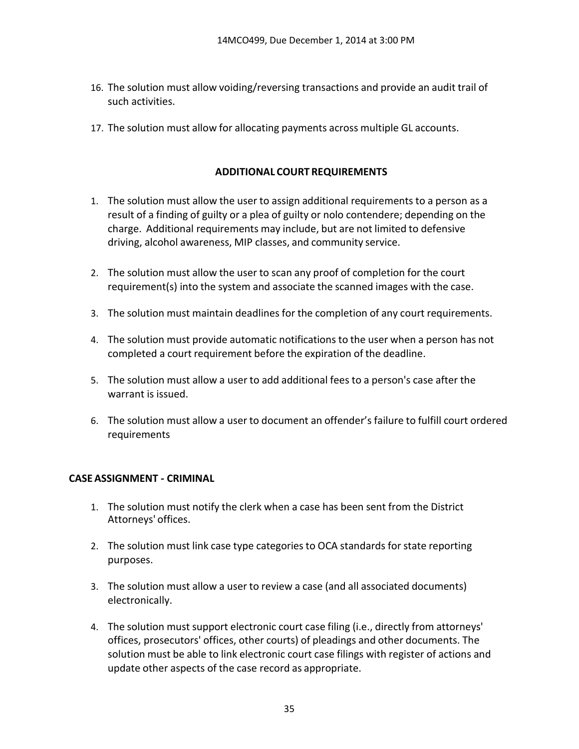- 16. The solution must allow voiding/reversing transactions and provide an audit trail of such activities.
- 17. The solution must allow for allocating payments across multiple GL accounts.

### **ADDITIONAL COURT REQUIREMENTS**

- 1. The solution must allow the user to assign additional requirements to a person as a result of a finding of guilty or a plea of guilty or nolo contendere; depending on the charge. Additional requirements may include, but are not limited to defensive driving, alcohol awareness, MIP classes, and community service.
- 2. The solution must allow the user to scan any proof of completion for the court requirement(s) into the system and associate the scanned images with the case.
- 3. The solution must maintain deadlines for the completion of any court requirements.
- 4. The solution must provide automatic notifications to the user when a person has not completed a court requirement before the expiration of the deadline.
- 5. The solution must allow a user to add additional fees to a person's case after the warrant is issued.
- 6. The solution must allow a user to document an offender's failure to fulfill court ordered requirements

## **CASEASSIGNMENT - CRIMINAL**

- 1. The solution must notify the clerk when a case has been sent from the District Attorneys' offices.
- 2. The solution must link case type categories to OCA standards for state reporting purposes.
- 3. The solution must allow a user to review a case (and all associated documents) electronically.
- 4. The solution must support electronic court case filing (i.e., directly from attorneys' offices, prosecutors' offices, other courts) of pleadings and other documents. The solution must be able to link electronic court case filings with register of actions and update other aspects of the case record as appropriate.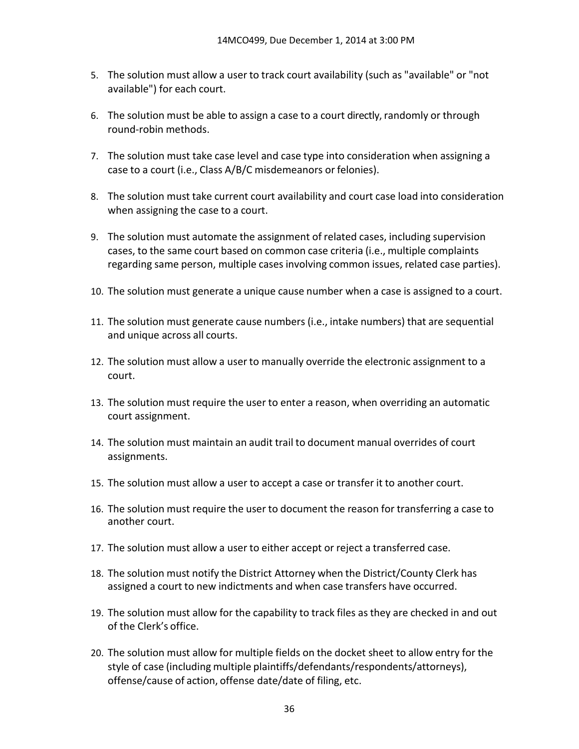- 5. The solution must allow a user to track court availability (such as "available" or "not available") for each court.
- 6. The solution must be able to assign a case to a court directly, randomly or through round‐robin methods.
- 7. The solution must take case level and case type into consideration when assigning a case to a court (i.e., Class A/B/C misdemeanors or felonies).
- 8. The solution must take current court availability and court case load into consideration when assigning the case to a court.
- 9. The solution must automate the assignment of related cases, including supervision cases, to the same court based on common case criteria (i.e., multiple complaints regarding same person, multiple cases involving common issues, related case parties).
- 10. The solution must generate a unique cause number when a case is assigned to a court.
- 11. The solution must generate cause numbers (i.e., intake numbers) that are sequential and unique across all courts.
- 12. The solution must allow a user to manually override the electronic assignment to a court.
- 13. The solution must require the user to enter a reason, when overriding an automatic court assignment.
- 14. The solution must maintain an audit trail to document manual overrides of court assignments.
- 15. The solution must allow a user to accept a case or transfer it to another court.
- 16. The solution must require the user to document the reason for transferring a case to another court.
- 17. The solution must allow a user to either accept or reject a transferred case.
- 18. The solution must notify the District Attorney when the District/County Clerk has assigned a court to new indictments and when case transfers have occurred.
- 19. The solution must allow for the capability to track files as they are checked in and out of the Clerk's office.
- 20. The solution must allow for multiple fields on the docket sheet to allow entry for the style of case (including multiple plaintiffs/defendants/respondents/attorneys), offense/cause of action, offense date/date of filing, etc.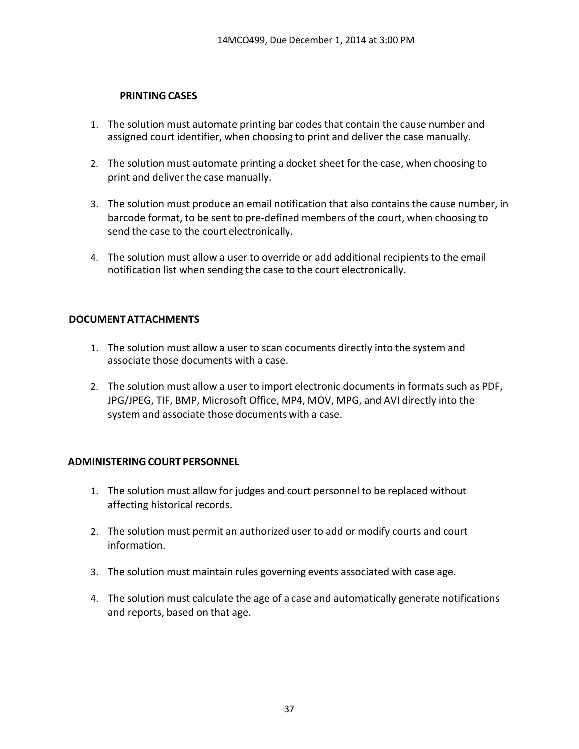### **PRINTING CASES**

- 1. The solution must automate printing bar codes that contain the cause number and assigned court identifier, when choosing to print and deliver the case manually.
- 2. The solution must automate printing a docket sheet for the case, when choosing to print and deliver the case manually.
- 3. The solution must produce an email notification that also contains the cause number, in barcode format, to be sent to pre‐defined members of the court, when choosing to send the case to the court electronically.
- 4. The solution must allow a user to override or add additional recipients to the email notification list when sending the case to the court electronically.

## **DOCUMENTATTACHMENTS**

- 1. The solution must allow a user to scan documents directly into the system and associate those documents with a case.
- 2. The solution must allow a user to import electronic documents in formats such as PDF, JPG/JPEG, TIF, BMP, Microsoft Office, MP4, MOV, MPG, and AVI directly into the system and associate those documents with a case.

## **ADMINISTERINGCOURT PERSONNEL**

- 1. The solution must allow for judges and court personnel to be replaced without affecting historical records.
- 2. The solution must permit an authorized user to add or modify courts and court information.
- 3. The solution must maintain rules governing events associated with case age.
- 4. The solution must calculate the age of a case and automatically generate notifications and reports, based on that age.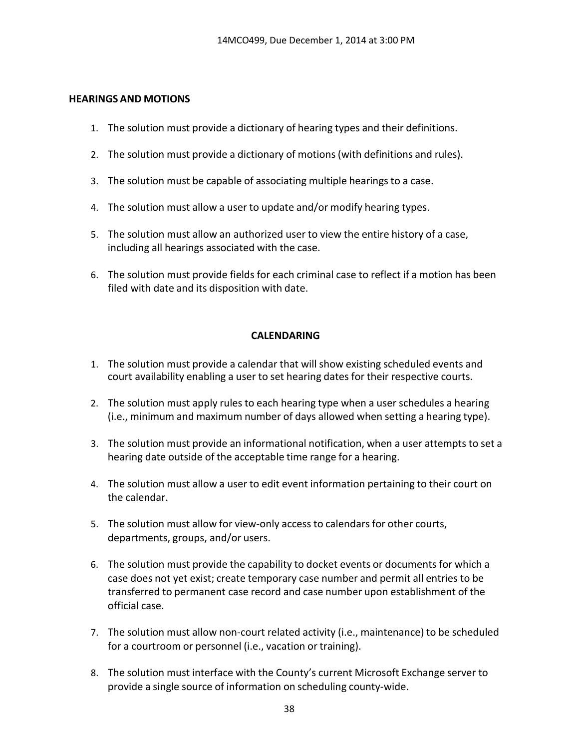#### **HEARINGS AND MOTIONS**

- 1. The solution must provide a dictionary of hearing types and their definitions.
- 2. The solution must provide a dictionary of motions(with definitions and rules).
- 3. The solution must be capable of associating multiple hearings to a case.
- 4. The solution must allow a user to update and/or modify hearing types.
- 5. The solution must allow an authorized user to view the entire history of a case, including all hearings associated with the case.
- 6. The solution must provide fields for each criminal case to reflect if a motion has been filed with date and its disposition with date.

### **CALENDARING**

- 1. The solution must provide a calendar that will show existing scheduled events and court availability enabling a user to set hearing dates for their respective courts.
- 2. The solution must apply rules to each hearing type when a user schedules a hearing (i.e., minimum and maximum number of days allowed when setting a hearing type).
- 3. The solution must provide an informational notification, when a user attempts to set a hearing date outside of the acceptable time range for a hearing.
- 4. The solution must allow a user to edit event information pertaining to their court on the calendar.
- 5. The solution must allow for view-only access to calendars for other courts, departments, groups, and/or users.
- 6. The solution must provide the capability to docket events or documents for which a case does not yet exist; create temporary case number and permit all entries to be transferred to permanent case record and case number upon establishment of the official case.
- 7. The solution must allow non‐court related activity (i.e., maintenance) to be scheduled for a courtroom or personnel (i.e., vacation or training).
- 8. The solution must interface with the County's current Microsoft Exchange server to provide a single source of information on scheduling county‐wide.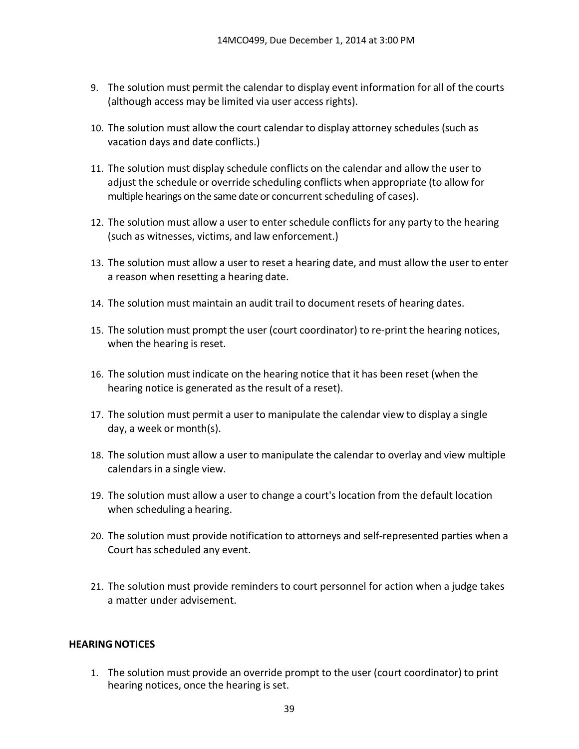- 9. The solution must permit the calendar to display event information for all of the courts (although access may be limited via user access rights).
- 10. The solution must allow the court calendar to display attorney schedules (such as vacation days and date conflicts.)
- 11. The solution must display schedule conflicts on the calendar and allow the user to adjust the schedule or override scheduling conflicts when appropriate (to allow for multiple hearings on the same date or concurrent scheduling of cases).
- 12. The solution must allow a user to enter schedule conflicts for any party to the hearing (such as witnesses, victims, and law enforcement.)
- 13. The solution must allow a user to reset a hearing date, and must allow the user to enter a reason when resetting a hearing date.
- 14. The solution must maintain an audit trail to document resets of hearing dates.
- 15. The solution must prompt the user (court coordinator) to re‐print the hearing notices, when the hearing is reset.
- 16. The solution must indicate on the hearing notice that it has been reset (when the hearing notice is generated as the result of a reset).
- 17. The solution must permit a user to manipulate the calendar view to display a single day, a week or month(s).
- 18. The solution must allow a user to manipulate the calendar to overlay and view multiple calendars in a single view.
- 19. The solution must allow a user to change a court's location from the default location when scheduling a hearing.
- 20. The solution must provide notification to attorneys and self-represented parties when a Court has scheduled any event.
- 21. The solution must provide reminders to court personnel for action when a judge takes a matter under advisement.

#### **HEARING NOTICES**

1. The solution must provide an override prompt to the user (court coordinator) to print hearing notices, once the hearing is set.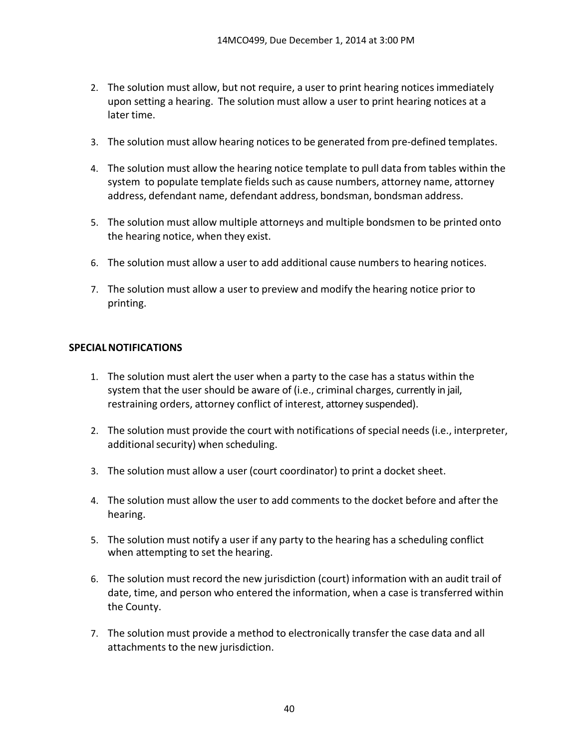- 2. The solution must allow, but not require, a user to print hearing notices immediately upon setting a hearing. The solution must allow a user to print hearing notices at a later time.
- 3. The solution must allow hearing noticesto be generated from pre‐defined templates.
- 4. The solution must allow the hearing notice template to pull data from tables within the system to populate template fields such as cause numbers, attorney name, attorney address, defendant name, defendant address, bondsman, bondsman address.
- 5. The solution must allow multiple attorneys and multiple bondsmen to be printed onto the hearing notice, when they exist.
- 6. The solution must allow a user to add additional cause numbersto hearing notices.
- 7. The solution must allow a user to preview and modify the hearing notice prior to printing.

### **SPECIALNOTIFICATIONS**

- 1. The solution must alert the user when a party to the case has a status within the system that the user should be aware of (i.e., criminal charges, currently in jail, restraining orders, attorney conflict of interest, attorney suspended).
- 2. The solution must provide the court with notifications of special needs (i.e., interpreter, additional security) when scheduling.
- 3. The solution must allow a user (court coordinator) to print a docket sheet.
- 4. The solution must allow the user to add comments to the docket before and after the hearing.
- 5. The solution must notify a user if any party to the hearing has a scheduling conflict when attempting to set the hearing.
- 6. The solution must record the new jurisdiction (court) information with an audit trail of date, time, and person who entered the information, when a case is transferred within the County.
- 7. The solution must provide a method to electronically transfer the case data and all attachments to the new jurisdiction.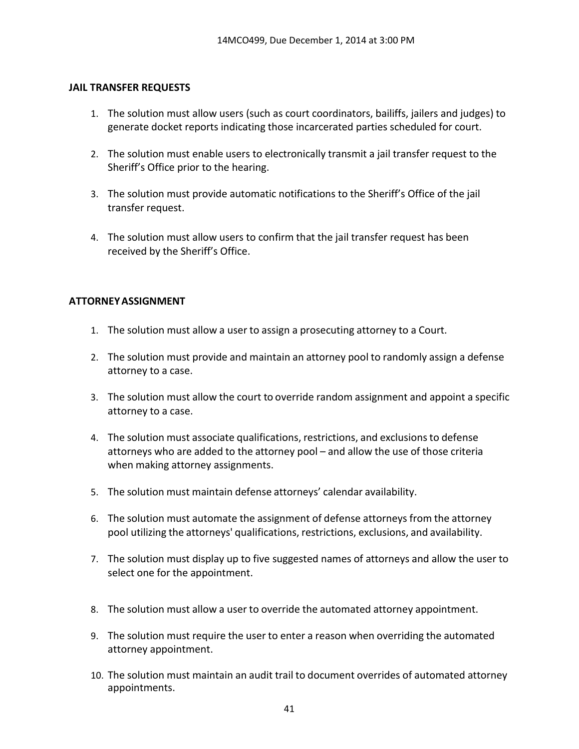#### **JAIL TRANSFER REQUESTS**

- 1. The solution must allow users (such as court coordinators, bailiffs, jailers and judges) to generate docket reports indicating those incarcerated parties scheduled for court.
- 2. The solution must enable users to electronically transmit a jail transfer request to the Sheriff's Office prior to the hearing.
- 3. The solution must provide automatic notifications to the Sheriff's Office of the jail transfer request.
- 4. The solution must allow users to confirm that the jail transfer request has been received by the Sheriff's Office.

### **ATTORNEYASSIGNMENT**

- 1. The solution must allow a user to assign a prosecuting attorney to a Court.
- 2. The solution must provide and maintain an attorney pool to randomly assign a defense attorney to a case.
- 3. The solution must allow the court to override random assignment and appoint a specific attorney to a case.
- 4. The solution must associate qualifications, restrictions, and exclusionsto defense attorneys who are added to the attorney pool – and allow the use of those criteria when making attorney assignments.
- 5. The solution must maintain defense attorneys' calendar availability.
- 6. The solution must automate the assignment of defense attorneys from the attorney pool utilizing the attorneys' qualifications, restrictions, exclusions, and availability.
- 7. The solution must display up to five suggested names of attorneys and allow the user to select one for the appointment.
- 8. The solution must allow a user to override the automated attorney appointment.
- 9. The solution must require the user to enter a reason when overriding the automated attorney appointment.
- 10. The solution must maintain an audit trail to document overrides of automated attorney appointments.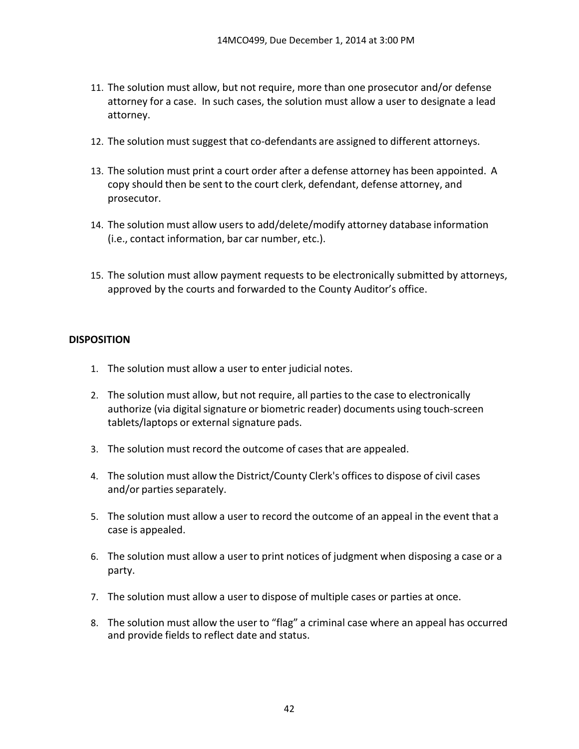- 11. The solution must allow, but not require, more than one prosecutor and/or defense attorney for a case. In such cases, the solution must allow a user to designate a lead attorney.
- 12. The solution must suggest that co‐defendants are assigned to different attorneys.
- 13. The solution must print a court order after a defense attorney has been appointed. A copy should then be sent to the court clerk, defendant, defense attorney, and prosecutor.
- 14. The solution must allow users to add/delete/modify attorney database information (i.e., contact information, bar car number, etc.).
- 15. The solution must allow payment requests to be electronically submitted by attorneys, approved by the courts and forwarded to the County Auditor's office.

## **DISPOSITION**

- 1. The solution must allow a user to enter judicial notes.
- 2. The solution must allow, but not require, all parties to the case to electronically authorize (via digital signature or biometric reader) documents using touch-screen tablets/laptops or external signature pads.
- 3. The solution must record the outcome of casesthat are appealed.
- 4. The solution must allow the District/County Clerk's officesto dispose of civil cases and/or parties separately.
- 5. The solution must allow a user to record the outcome of an appeal in the event that a case is appealed.
- 6. The solution must allow a user to print notices of judgment when disposing a case or a party.
- 7. The solution must allow a user to dispose of multiple cases or parties at once.
- 8. The solution must allow the user to "flag" a criminal case where an appeal has occurred and provide fields to reflect date and status.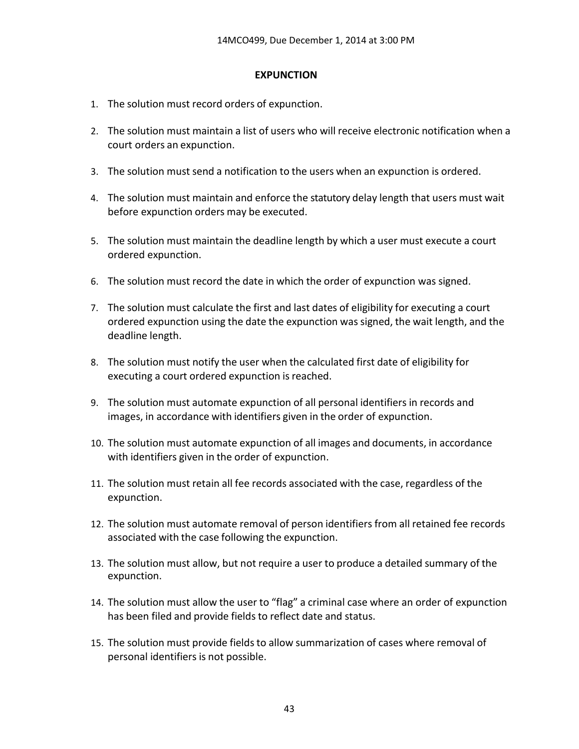#### **EXPUNCTION**

- 1. The solution must record orders of expunction.
- 2. The solution must maintain a list of users who will receive electronic notification when a court orders an expunction.
- 3. The solution must send a notification to the users when an expunction is ordered.
- 4. The solution must maintain and enforce the statutory delay length that users must wait before expunction orders may be executed.
- 5. The solution must maintain the deadline length by which a user must execute a court ordered expunction.
- 6. The solution must record the date in which the order of expunction was signed.
- 7. The solution must calculate the first and last dates of eligibility for executing a court ordered expunction using the date the expunction was signed, the wait length, and the deadline length.
- 8. The solution must notify the user when the calculated first date of eligibility for executing a court ordered expunction is reached.
- 9. The solution must automate expunction of all personal identifiers in records and images, in accordance with identifiers given in the order of expunction.
- 10. The solution must automate expunction of all images and documents, in accordance with identifiers given in the order of expunction.
- 11. The solution must retain all fee records associated with the case, regardless of the expunction.
- 12. The solution must automate removal of person identifiers from all retained fee records associated with the case following the expunction.
- 13. The solution must allow, but not require a user to produce a detailed summary of the expunction.
- 14. The solution must allow the user to "flag" a criminal case where an order of expunction has been filed and provide fields to reflect date and status.
- 15. The solution must provide fields to allow summarization of cases where removal of personal identifiers is not possible.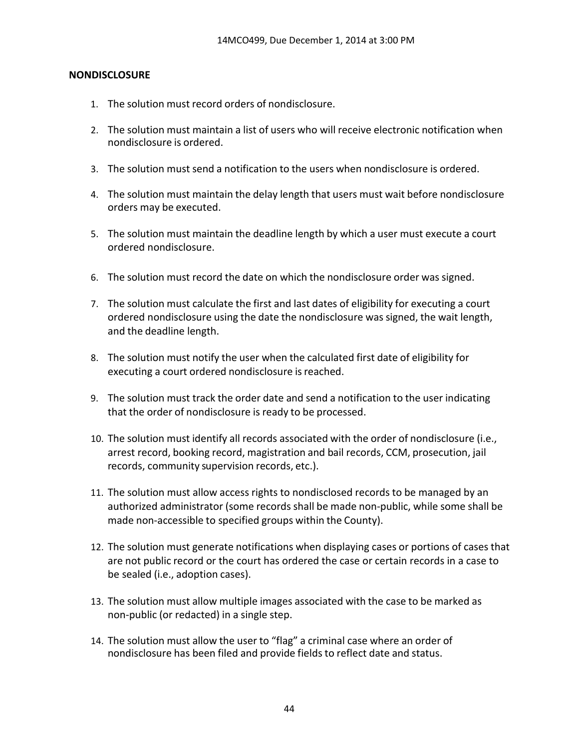### **NONDISCLOSURE**

- 1. The solution must record orders of nondisclosure.
- 2. The solution must maintain a list of users who will receive electronic notification when nondisclosure is ordered.
- 3. The solution must send a notification to the users when nondisclosure is ordered.
- 4. The solution must maintain the delay length that users must wait before nondisclosure orders may be executed.
- 5. The solution must maintain the deadline length by which a user must execute a court ordered nondisclosure.
- 6. The solution must record the date on which the nondisclosure order was signed.
- 7. The solution must calculate the first and last dates of eligibility for executing a court ordered nondisclosure using the date the nondisclosure was signed, the wait length, and the deadline length.
- 8. The solution must notify the user when the calculated first date of eligibility for executing a court ordered nondisclosure is reached.
- 9. The solution must track the order date and send a notification to the user indicating that the order of nondisclosure is ready to be processed.
- 10. The solution must identify all records associated with the order of nondisclosure (i.e., arrest record, booking record, magistration and bail records, CCM, prosecution, jail records, community supervision records, etc.).
- 11. The solution must allow access rights to nondisclosed records to be managed by an authorized administrator (some records shall be made non‐public, while some shall be made non-accessible to specified groups within the County).
- 12. The solution must generate notifications when displaying cases or portions of cases that are not public record or the court has ordered the case or certain records in a case to be sealed (i.e., adoption cases).
- 13. The solution must allow multiple images associated with the case to be marked as non‐public (or redacted) in a single step.
- 14. The solution must allow the user to "flag" a criminal case where an order of nondisclosure has been filed and provide fields to reflect date and status.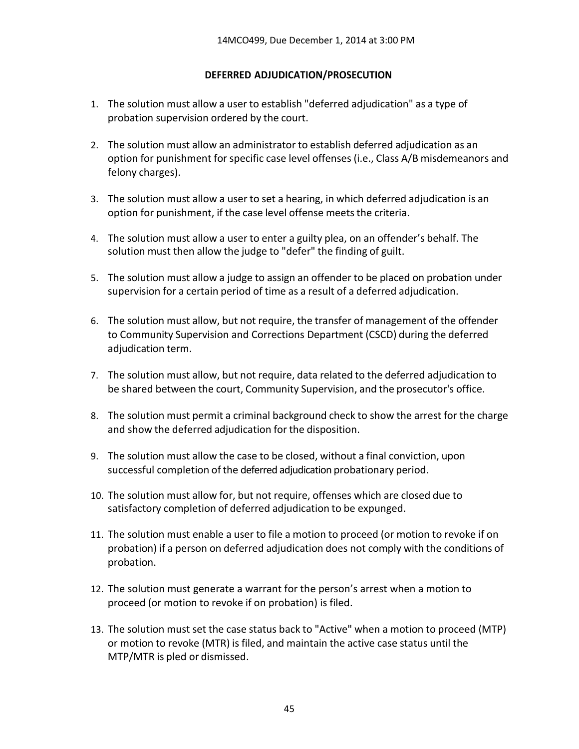### **DEFERRED ADJUDICATION/PROSECUTION**

- 1. The solution must allow a user to establish "deferred adjudication" as a type of probation supervision ordered by the court.
- 2. The solution must allow an administrator to establish deferred adjudication as an option for punishment for specific case level offenses (i.e., Class A/B misdemeanors and felony charges).
- 3. The solution must allow a user to set a hearing, in which deferred adjudication is an option for punishment, if the case level offense meets the criteria.
- 4. The solution must allow a user to enter a guilty plea, on an offender's behalf. The solution must then allow the judge to "defer" the finding of guilt.
- 5. The solution must allow a judge to assign an offender to be placed on probation under supervision for a certain period of time as a result of a deferred adjudication.
- 6. The solution must allow, but not require, the transfer of management of the offender to Community Supervision and Corrections Department (CSCD) during the deferred adjudication term.
- 7. The solution must allow, but not require, data related to the deferred adjudication to be shared between the court, Community Supervision, and the prosecutor's office.
- 8. The solution must permit a criminal background check to show the arrest for the charge and show the deferred adjudication for the disposition.
- 9. The solution must allow the case to be closed, without a final conviction, upon successful completion of the deferred adjudication probationary period.
- 10. The solution must allow for, but not require, offenses which are closed due to satisfactory completion of deferred adjudication to be expunged.
- 11. The solution must enable a user to file a motion to proceed (or motion to revoke if on probation) if a person on deferred adjudication does not comply with the conditions of probation.
- 12. The solution must generate a warrant for the person's arrest when a motion to proceed (or motion to revoke if on probation) is filed.
- 13. The solution must set the case status back to "Active" when a motion to proceed (MTP) or motion to revoke (MTR) is filed, and maintain the active case status until the MTP/MTR is pled or dismissed.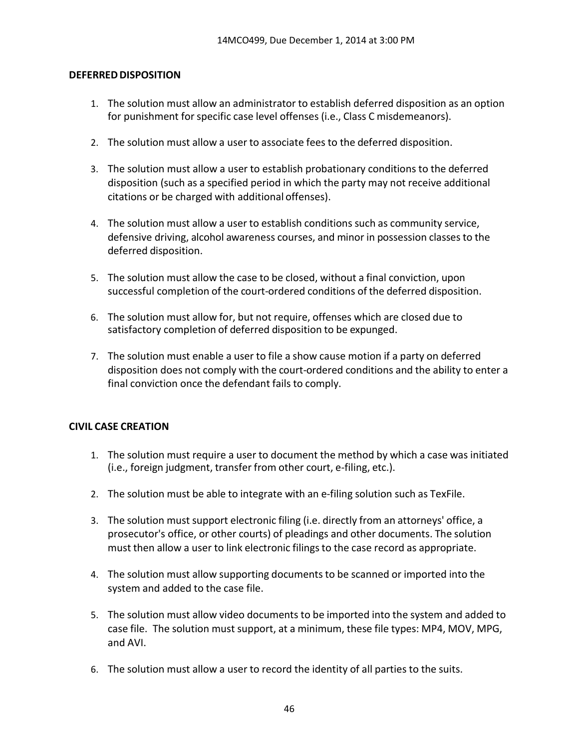#### **DEFERRED DISPOSITION**

- 1. The solution must allow an administrator to establish deferred disposition as an option for punishment for specific case level offenses (i.e., Class C misdemeanors).
- 2. The solution must allow a user to associate fees to the deferred disposition.
- 3. The solution must allow a user to establish probationary conditions to the deferred disposition (such as a specified period in which the party may not receive additional citations or be charged with additional offenses).
- 4. The solution must allow a user to establish conditions such as community service, defensive driving, alcohol awareness courses, and minor in possession classesto the deferred disposition.
- 5. The solution must allow the case to be closed, without a final conviction, upon successful completion of the court-ordered conditions of the deferred disposition.
- 6. The solution must allow for, but not require, offenses which are closed due to satisfactory completion of deferred disposition to be expunged.
- 7. The solution must enable a user to file a show cause motion if a party on deferred disposition does not comply with the court-ordered conditions and the ability to enter a final conviction once the defendant fails to comply.

#### **CIVIL CASE CREATION**

- 1. The solution must require a user to document the method by which a case was initiated (i.e., foreign judgment, transfer from other court, e‐filing, etc.).
- 2. The solution must be able to integrate with an e-filing solution such as TexFile.
- 3. The solution must support electronic filing (i.e. directly from an attorneys' office, a prosecutor's office, or other courts) of pleadings and other documents. The solution must then allow a user to link electronic filingsto the case record as appropriate.
- 4. The solution must allow supporting documents to be scanned or imported into the system and added to the case file.
- 5. The solution must allow video documents to be imported into the system and added to case file. The solution must support, at a minimum, these file types: MP4, MOV, MPG, and AVI.
- 6. The solution must allow a user to record the identity of all parties to the suits.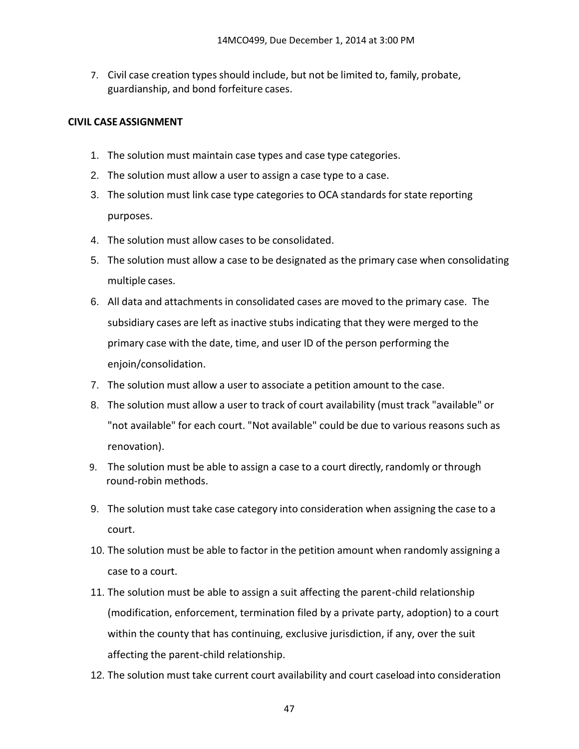7. Civil case creation types should include, but not be limited to, family, probate, guardianship, and bond forfeiture cases.

### **CIVIL CASEASSIGNMENT**

- 1. The solution must maintain case types and case type categories.
- 2. The solution must allow a user to assign a case type to a case.
- 3. The solution must link case type categories to OCA standards for state reporting purposes.
- 4. The solution must allow cases to be consolidated.
- 5. The solution must allow a case to be designated as the primary case when consolidating multiple cases.
- 6. All data and attachments in consolidated cases are moved to the primary case. The subsidiary cases are left as inactive stubs indicating that they were merged to the primary case with the date, time, and user ID of the person performing the enjoin/consolidation.
- 7. The solution must allow a user to associate a petition amount to the case.
- 8. The solution must allow a user to track of court availability (must track "available" or "not available" for each court. "Not available" could be due to various reasons such as renovation).
- 9. The solution must be able to assign a case to a court directly, randomly or through round‐robin methods.
- 9. The solution must take case category into consideration when assigning the case to a court.
- 10. The solution must be able to factor in the petition amount when randomly assigning a case to a court.
- 11. The solution must be able to assign a suit affecting the parent-child relationship (modification, enforcement, termination filed by a private party, adoption) to a court within the county that has continuing, exclusive jurisdiction, if any, over the suit affecting the parent-child relationship.
- 12. The solution must take current court availability and court caseload into consideration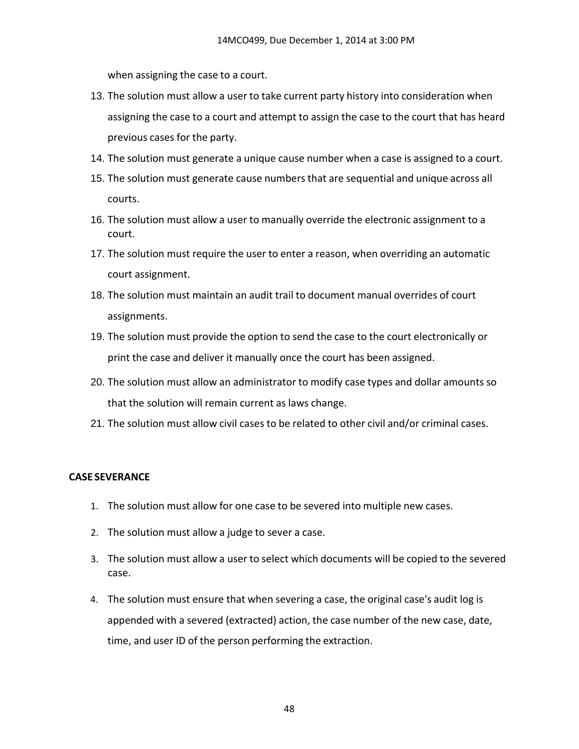when assigning the case to a court.

- 13. The solution must allow a user to take current party history into consideration when assigning the case to a court and attempt to assign the case to the court that has heard previous cases for the party.
- 14. The solution must generate a unique cause number when a case is assigned to a court.
- 15. The solution must generate cause numbers that are sequential and unique across all courts.
- 16. The solution must allow a user to manually override the electronic assignment to a court.
- 17. The solution must require the user to enter a reason, when overriding an automatic court assignment.
- 18. The solution must maintain an audit trail to document manual overrides of court assignments.
- 19. The solution must provide the option to send the case to the court electronically or print the case and deliver it manually once the court has been assigned.
- 20. The solution must allow an administrator to modify case types and dollar amounts so that the solution will remain current as laws change.
- 21. The solution must allow civil cases to be related to other civil and/or criminal cases.

#### **CASE SEVERANCE**

- 1. The solution must allow for one case to be severed into multiple new cases.
- 2. The solution must allow a judge to sever a case.
- 3. The solution must allow a user to select which documents will be copied to the severed case.
- 4. The solution must ensure that when severing a case, the original case's audit log is appended with a severed (extracted) action, the case number of the new case, date, time, and user ID of the person performing the extraction.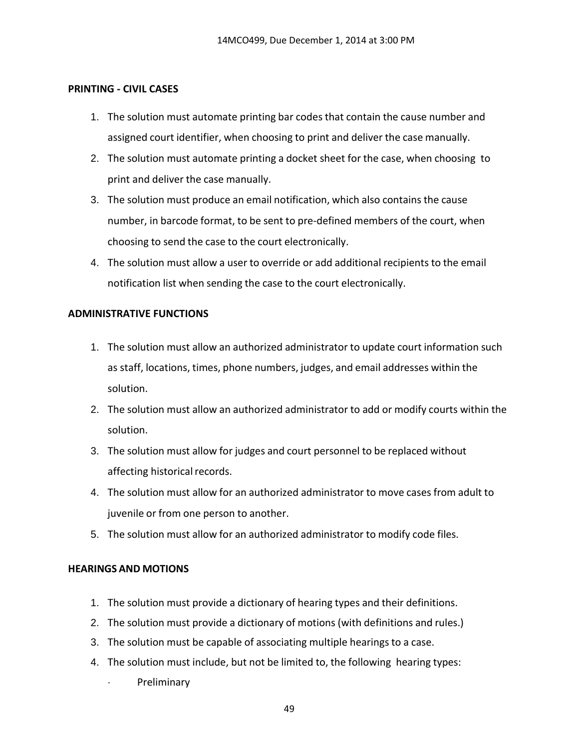#### **PRINTING - CIVIL CASES**

- 1. The solution must automate printing bar codesthat contain the cause number and assigned court identifier, when choosing to print and deliver the case manually.
- 2. The solution must automate printing a docket sheet for the case, when choosing to print and deliver the case manually.
- 3. The solution must produce an email notification, which also contains the cause number, in barcode format, to be sent to pre-defined members of the court, when choosing to send the case to the court electronically.
- 4. The solution must allow a user to override or add additional recipients to the email notification list when sending the case to the court electronically.

#### **ADMINISTRATIVE FUNCTIONS**

- 1. The solution must allow an authorized administrator to update court information such as staff, locations, times, phone numbers, judges, and email addresses within the solution.
- 2. The solution must allow an authorized administrator to add or modify courts within the solution.
- 3. The solution must allow for judges and court personnel to be replaced without affecting historical records.
- 4. The solution must allow for an authorized administrator to move cases from adult to juvenile or from one person to another.
- 5. The solution must allow for an authorized administrator to modify code files.

#### **HEARINGS AND MOTIONS**

- 1. The solution must provide a dictionary of hearing types and their definitions.
- 2. The solution must provide a dictionary of motions (with definitions and rules.)
- 3. The solution must be capable of associating multiple hearings to a case.
- 4. The solution must include, but not be limited to, the following hearing types:
	- **Preliminary**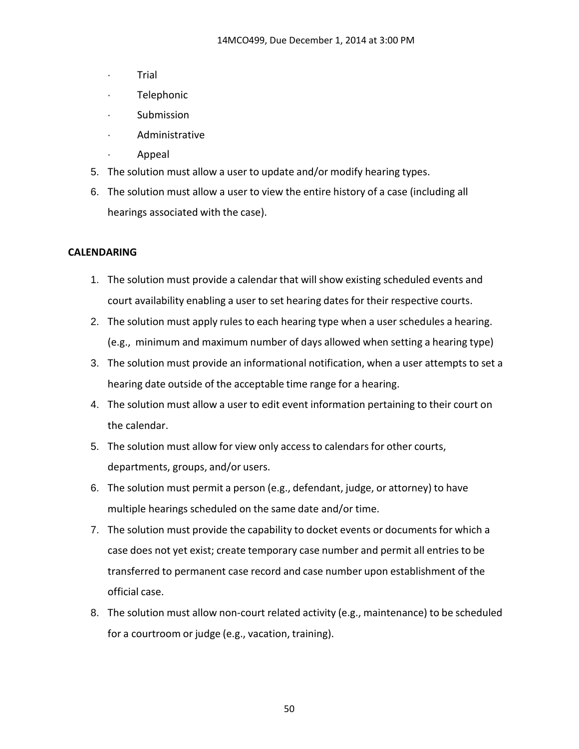- · Trial
- Telephonic
- **Submission**
- · Administrative
- · Appeal
- 5. The solution must allow a user to update and/or modify hearing types.
- 6. The solution must allow a user to view the entire history of a case (including all hearings associated with the case).

## **CALENDARING**

- 1. The solution must provide a calendar that will show existing scheduled events and court availability enabling a user to set hearing dates for their respective courts.
- 2. The solution must apply rules to each hearing type when a user schedules a hearing. (e.g., minimum and maximum number of days allowed when setting a hearing type)
- 3. The solution must provide an informational notification, when a user attempts to set a hearing date outside of the acceptable time range for a hearing.
- 4. The solution must allow a user to edit event information pertaining to their court on the calendar.
- 5. The solution must allow for view only access to calendars for other courts, departments, groups, and/or users.
- 6. The solution must permit a person (e.g., defendant, judge, or attorney) to have multiple hearings scheduled on the same date and/or time.
- 7. The solution must provide the capability to docket events or documents for which a case does not yet exist; create temporary case number and permit all entries to be transferred to permanent case record and case number upon establishment of the official case.
- 8. The solution must allow non-court related activity (e.g., maintenance) to be scheduled for a courtroom or judge (e.g., vacation, training).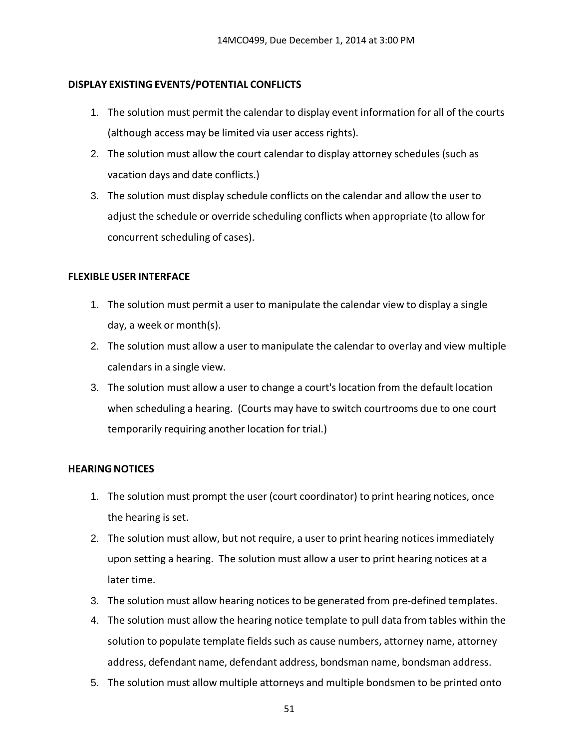#### **DISPLAY EXISTING EVENTS/POTENTIAL CONFLICTS**

- 1. The solution must permit the calendar to display event information for all of the courts (although access may be limited via user access rights).
- 2. The solution must allow the court calendar to display attorney schedules (such as vacation days and date conflicts.)
- 3. The solution must display schedule conflicts on the calendar and allow the user to adjust the schedule or override scheduling conflicts when appropriate (to allow for concurrent scheduling of cases).

### **FLEXIBLE USER INTERFACE**

- 1. The solution must permit a user to manipulate the calendar view to display a single day, a week or month(s).
- 2. The solution must allow a user to manipulate the calendar to overlay and view multiple calendars in a single view.
- 3. The solution must allow a user to change a court's location from the default location when scheduling a hearing. (Courts may have to switch courtrooms due to one court temporarily requiring another location for trial.)

## **HEARING NOTICES**

- 1. The solution must prompt the user (court coordinator) to print hearing notices, once the hearing is set.
- 2. The solution must allow, but not require, a user to print hearing notices immediately upon setting a hearing. The solution must allow a user to print hearing notices at a later time.
- 3. The solution must allow hearing notices to be generated from pre-defined templates.
- 4. The solution must allow the hearing notice template to pull data from tables within the solution to populate template fields such as cause numbers, attorney name, attorney address, defendant name, defendant address, bondsman name, bondsman address.
- 5. The solution must allow multiple attorneys and multiple bondsmen to be printed onto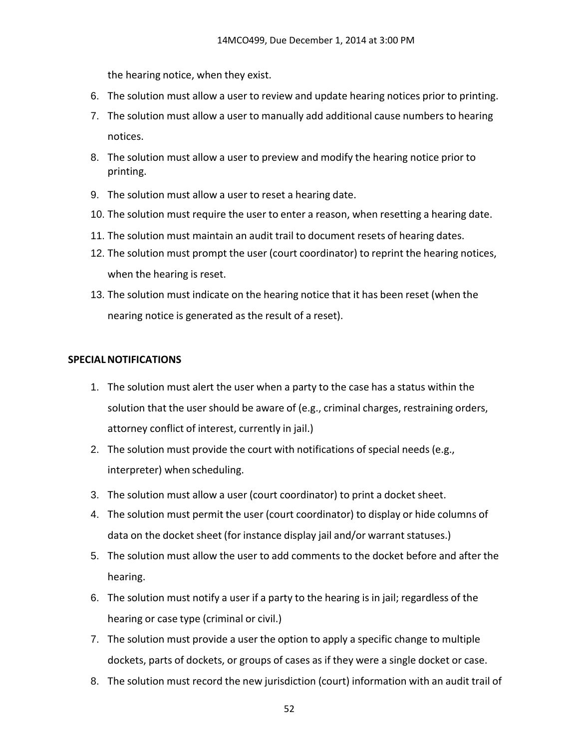the hearing notice, when they exist.

- 6. The solution must allow a user to review and update hearing notices prior to printing.
- 7. The solution must allow a user to manually add additional cause numbers to hearing notices.
- 8. The solution must allow a user to preview and modify the hearing notice prior to printing.
- 9. The solution must allow a user to reset a hearing date.
- 10. The solution must require the user to enter a reason, when resetting a hearing date.
- 11. The solution must maintain an audit trail to document resets of hearing dates.
- 12. The solution must prompt the user (court coordinator) to reprint the hearing notices, when the hearing is reset.
- 13. The solution must indicate on the hearing notice that it has been reset (when the nearing notice is generated as the result of a reset).

## **SPECIALNOTIFICATIONS**

- 1. The solution must alert the user when a party to the case has a status within the solution that the user should be aware of (e.g., criminal charges, restraining orders, attorney conflict of interest, currently in jail.)
- 2. The solution must provide the court with notifications of special needs (e.g., interpreter) when scheduling.
- 3. The solution must allow a user (court coordinator) to print a docket sheet.
- 4. The solution must permit the user (court coordinator) to display or hide columns of data on the docket sheet (for instance display jail and/or warrant statuses.)
- 5. The solution must allow the user to add comments to the docket before and after the hearing.
- 6. The solution must notify a user if a party to the hearing is in jail; regardless of the hearing or case type (criminal or civil.)
- 7. The solution must provide a user the option to apply a specific change to multiple dockets, parts of dockets, or groups of cases as if they were a single docket or case.
- 8. The solution must record the new jurisdiction (court) information with an audit trail of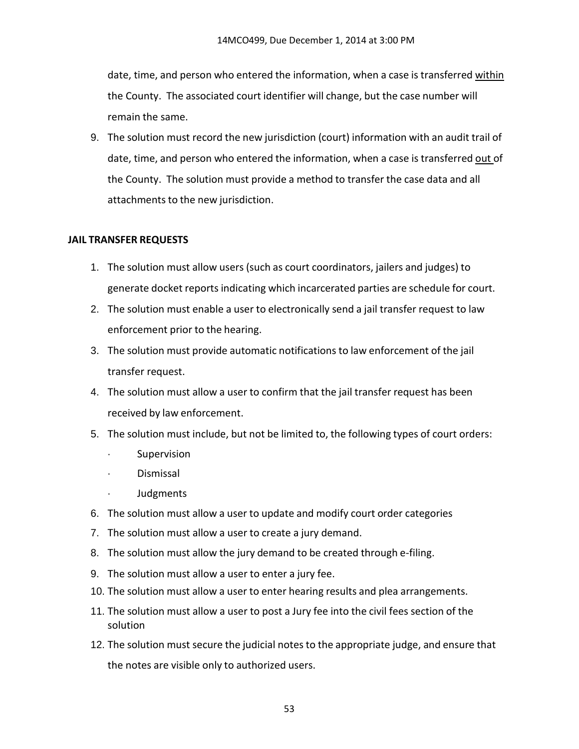date, time, and person who entered the information, when a case is transferred within the County. The associated court identifier will change, but the case number will remain the same.

9. The solution must record the new jurisdiction (court) information with an audit trail of date, time, and person who entered the information, when a case is transferred out of the County. The solution must provide a method to transfer the case data and all attachments to the new jurisdiction.

### **JAIL TRANSFER REQUESTS**

- 1. The solution must allow users (such as court coordinators, jailers and judges) to generate docket reports indicating which incarcerated parties are schedule for court.
- 2. The solution must enable a user to electronically send a jail transfer request to law enforcement prior to the hearing.
- 3. The solution must provide automatic notifications to law enforcement of the jail transfer request.
- 4. The solution must allow a user to confirm that the jail transfer request has been received by law enforcement.
- 5. The solution must include, but not be limited to, the following types of court orders:
	- **Supervision**
	- · Dismissal
	- · Judgments
- 6. The solution must allow a user to update and modify court order categories
- 7. The solution must allow a user to create a jury demand.
- 8. The solution must allow the jury demand to be created through e-filing.
- 9. The solution must allow a user to enter a jury fee.
- 10. The solution must allow a user to enter hearing results and plea arrangements.
- 11. The solution must allow a user to post a Jury fee into the civil fees section of the solution
- 12. The solution must secure the judicial notes to the appropriate judge, and ensure that the notes are visible only to authorized users.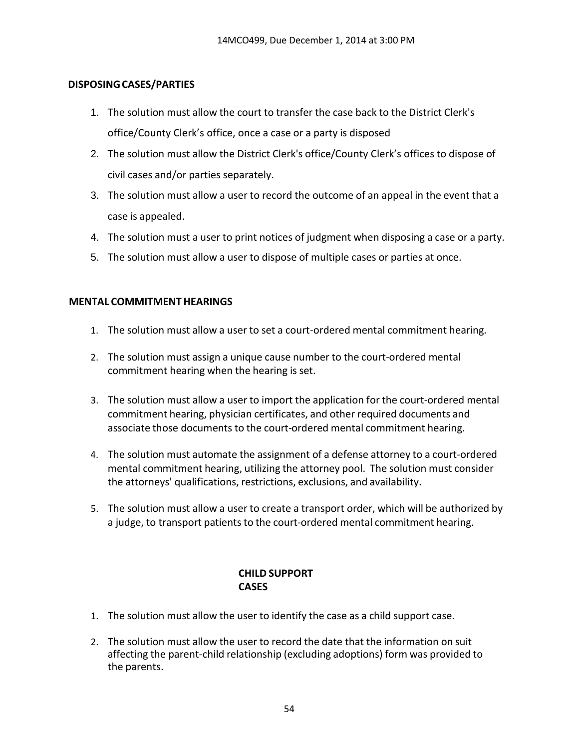#### **DISPOSINGCASES/PARTIES**

- 1. The solution must allow the court to transfer the case back to the District Clerk's office/County Clerk's office, once a case or a party is disposed
- 2. The solution must allow the District Clerk's office/County Clerk's offices to dispose of civil cases and/or parties separately.
- 3. The solution must allow a user to record the outcome of an appeal in the event that a case is appealed.
- 4. The solution must a user to print notices of judgment when disposing a case or a party.
- 5. The solution must allow a user to dispose of multiple cases or parties at once.

## **MENTAL COMMITMENT HEARINGS**

- 1. The solution must allow a user to set a court-ordered mental commitment hearing.
- 2. The solution must assign a unique cause number to the court-ordered mental commitment hearing when the hearing is set.
- 3. The solution must allow a user to import the application for the court-ordered mental commitment hearing, physician certificates, and other required documents and associate those documents to the court-ordered mental commitment hearing.
- 4. The solution must automate the assignment of a defense attorney to a court-ordered mental commitment hearing, utilizing the attorney pool. The solution must consider the attorneys' qualifications, restrictions, exclusions, and availability.
- 5. The solution must allow a user to create a transport order, which will be authorized by a judge, to transport patients to the court-ordered mental commitment hearing.

## **CHILD SUPPORT CASES**

- 1. The solution must allow the user to identify the case as a child support case.
- 2. The solution must allow the user to record the date that the information on suit affecting the parent-child relationship (excluding adoptions) form was provided to the parents.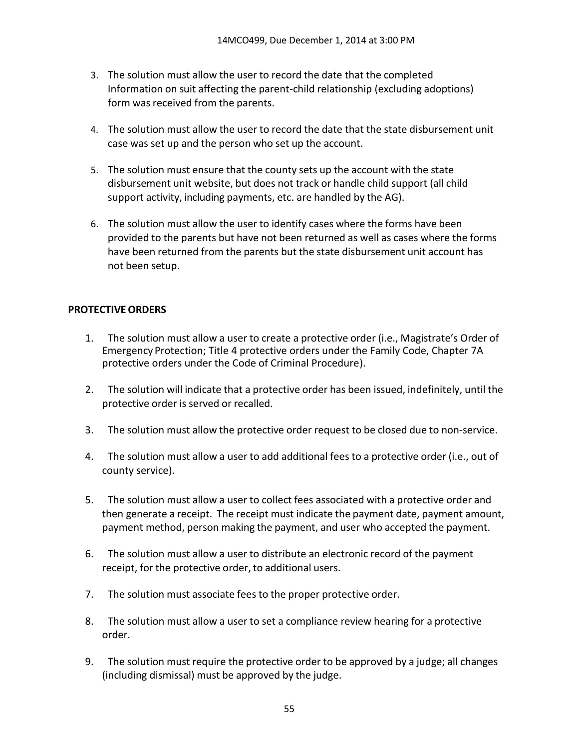- 3. The solution must allow the user to record the date that the completed Information on suit affecting the parent-child relationship (excluding adoptions) form was received from the parents.
- 4. The solution must allow the user to record the date that the state disbursement unit case was set up and the person who set up the account.
- 5. The solution must ensure that the county sets up the account with the state disbursement unit website, but does not track or handle child support (all child support activity, including payments, etc. are handled by the AG).
- 6. The solution must allow the user to identify cases where the forms have been provided to the parents but have not been returned as well as cases where the forms have been returned from the parents but the state disbursement unit account has not been setup.

## **PROTECTIVE ORDERS**

- 1. The solution must allow a user to create a protective order (i.e., Magistrate's Order of Emergency Protection; Title 4 protective orders under the Family Code, Chapter 7A protective orders under the Code of Criminal Procedure).
- 2. The solution will indicate that a protective order has been issued, indefinitely, until the protective order is served or recalled.
- 3. The solution must allow the protective order request to be closed due to non‐service.
- 4. The solution must allow a user to add additional fees to a protective order (i.e., out of county service).
- 5. The solution must allow a user to collect fees associated with a protective order and then generate a receipt. The receipt must indicate the payment date, payment amount, payment method, person making the payment, and user who accepted the payment.
- 6. The solution must allow a user to distribute an electronic record of the payment receipt, for the protective order, to additional users.
- 7. The solution must associate fees to the proper protective order.
- 8. The solution must allow a user to set a compliance review hearing for a protective order.
- 9. The solution must require the protective order to be approved by a judge; all changes (including dismissal) must be approved by the judge.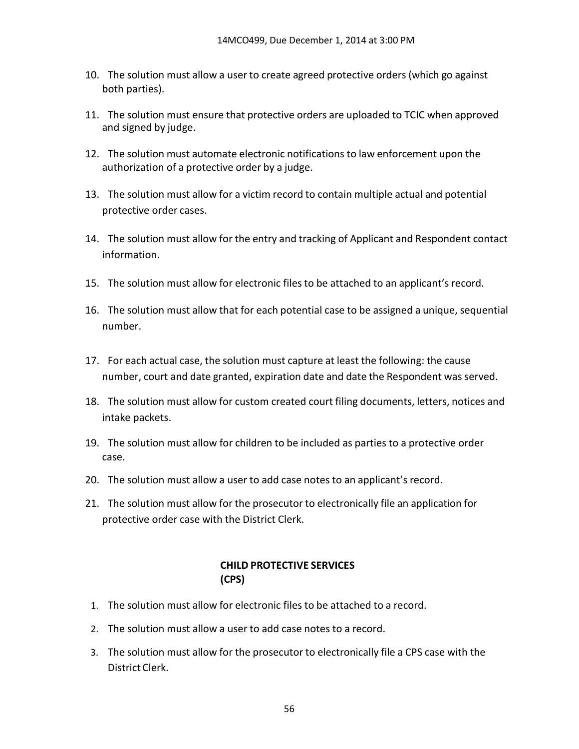- 10. The solution must allow a user to create agreed protective orders (which go against both parties).
- 11. The solution must ensure that protective orders are uploaded to TCIC when approved and signed by judge.
- 12. The solution must automate electronic notifications to law enforcement upon the authorization of a protective order by a judge.
- 13. The solution must allow for a victim record to contain multiple actual and potential protective order cases.
- 14. The solution must allow for the entry and tracking of Applicant and Respondent contact information.
- 15. The solution must allow for electronic filesto be attached to an applicant'srecord.
- 16. The solution must allow that for each potential case to be assigned a unique, sequential number.
- 17. For each actual case, the solution must capture at least the following: the cause number, court and date granted, expiration date and date the Respondent was served.
- 18. The solution must allow for custom created court filing documents, letters, notices and intake packets.
- 19. The solution must allow for children to be included as partiesto a protective order case.
- 20. The solution must allow a user to add case notes to an applicant's record.
- 21. The solution must allow for the prosecutor to electronically file an application for protective order case with the District Clerk.

## **CHILD PROTECTIVE SERVICES (CPS)**

- 1. The solution must allow for electronic files to be attached to a record.
- 2. The solution must allow a user to add case notes to a record.
- 3. The solution must allow for the prosecutor to electronically file a CPS case with the District Clerk.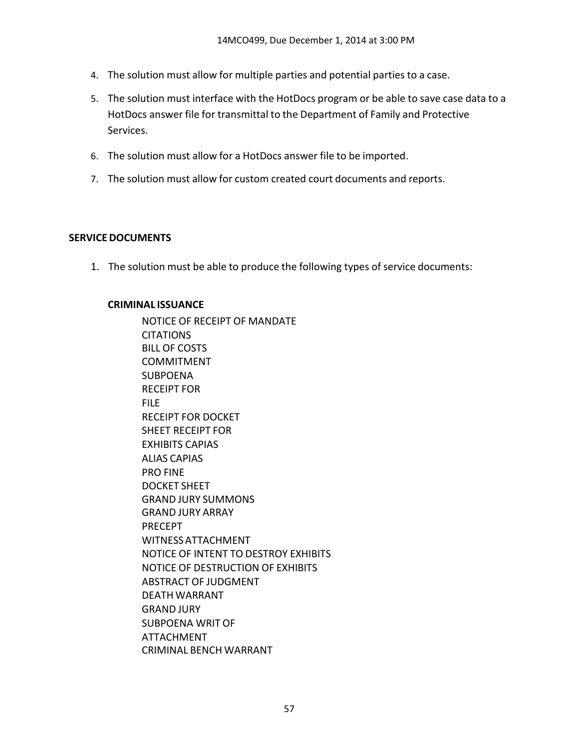- 4. The solution must allow for multiple parties and potential parties to a case.
- 5. The solution must interface with the HotDocs program or be able to save case data to a HotDocs answer file for transmittal to the Department of Family and Protective Services.
- 6. The solution must allow for a HotDocs answer file to be imported.
- 7. The solution must allow for custom created court documents and reports.

### **SERVICEDOCUMENTS**

1. The solution must be able to produce the following types of service documents:

#### **CRIMINAL ISSUANCE**

NOTICE OF RECEIPT OF MANDATE **CITATIONS** BILL OF COSTS COMMITMENT **SUBPOENA** RECEIPT FOR FILE RECEIPT FOR DOCKET SHEET RECEIPT FOR EXHIBITS CAPIAS ALIAS CAPIAS PRO FINE DOCKET SHEET GRAND JURY SUMMONS GRAND JURY ARRAY PRECEPT WITNESSATTACHMENT NOTICE OF INTENT TO DESTROY EXHIBITS NOTICE OF DESTRUCTION OF EXHIBITS ABSTRACT OF JUDGMENT DEATH WARRANT GRAND JURY SUBPOENA WRIT OF ATTACHMENT CRIMINAL BENCH WARRANT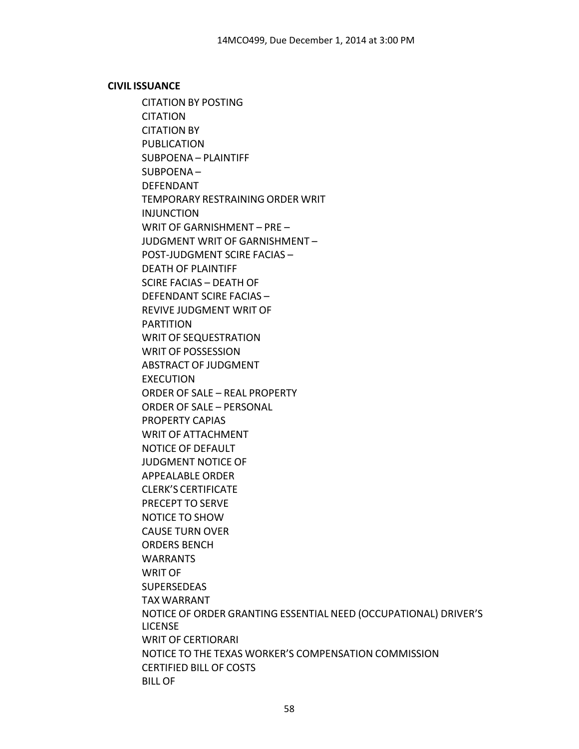#### **CIVIL ISSUANCE**

CITATION BY POSTING **CITATION** CITATION BY PUBLICATION SUBPOENA – PLAINTIFF SUBPOENA – DEFENDANT TEMPORARY RESTRAINING ORDER WRIT INJUNCTION WRIT OF GARNISHMENT – PRE – JUDGMENT WRIT OF GARNISHMENT – POST‐JUDGMENT SCIRE FACIAS – DEATH OF PLAINTIFF SCIRE FACIAS – DEATH OF DEFENDANT SCIRE FACIAS – REVIVE JUDGMENT WRIT OF PARTITION WRIT OF SEQUESTRATION WRIT OF POSSESSION ABSTRACT OF JUDGMENT EXECUTION ORDER OF SALE – REAL PROPERTY ORDER OF SALE – PERSONAL PROPERTY CAPIAS WRIT OF ATTACHMENT NOTICE OF DEFAULT JUDGMENT NOTICE OF APPEALABLE ORDER CLERK'S CERTIFICATE PRECEPT TO SERVE NOTICE TO SHOW CAUSE TURN OVER ORDERS BENCH WARRANTS WRIT OF SUPERSEDEAS TAX WARRANT NOTICE OF ORDER GRANTING ESSENTIAL NEED (OCCUPATIONAL) DRIVER'S LICENSE WRIT OF CERTIORARI NOTICE TO THE TEXAS WORKER'S COMPENSATION COMMISSION CERTIFIED BILL OF COSTS BILL OF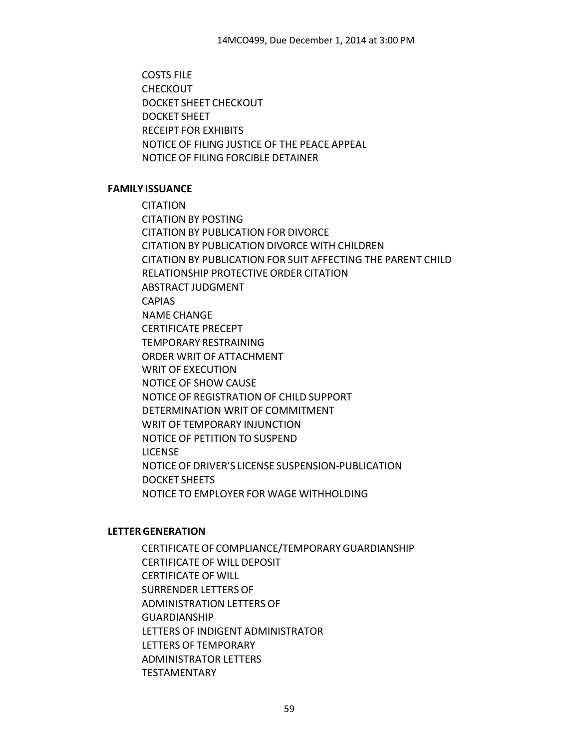COSTS FILE **CHECKOUT** DOCKET SHEET CHECKOUT DOCKET SHEET RECEIPT FOR EXHIBITS NOTICE OF FILING JUSTICE OF THE PEACE APPEAL NOTICE OF FILING FORCIBLE DETAINER

#### **FAMILY ISSUANCE**

**CITATION** CITATION BY POSTING CITATION BY PUBLICATION FOR DIVORCE CITATION BY PUBLICATION DIVORCE WITH CHILDREN CITATION BY PUBLICATION FOR SUIT AFFECTING THE PARENT CHILD RELATIONSHIP PROTECTIVE ORDER CITATION ABSTRACT JUDGMENT CAPIAS NAME CHANGE CERTIFICATE PRECEPT TEMPORARY RESTRAINING ORDER WRIT OF ATTACHMENT WRIT OF EXECUTION NOTICE OF SHOW CAUSE NOTICE OF REGISTRATION OF CHILD SUPPORT DETERMINATION WRIT OF COMMITMENT WRIT OF TEMPORARY INJUNCTION NOTICE OF PETITION TO SUSPEND LICENSE NOTICE OF DRIVER'S LICENSE SUSPENSION‐PUBLICATION DOCKET SHEETS NOTICE TO EMPLOYER FOR WAGE WITHHOLDING

#### **LETTERGENERATION**

CERTIFICATE OF COMPLIANCE/TEMPORARY GUARDIANSHIP CERTIFICATE OF WILL DEPOSIT CERTIFICATE OF WILL SURRENDER LETTERS OF ADMINISTRATION LETTERS OF GUARDIANSHIP LETTERS OF INDIGENT ADMINISTRATOR LETTERS OF TEMPORARY ADMINISTRATOR LETTERS TESTAMENTARY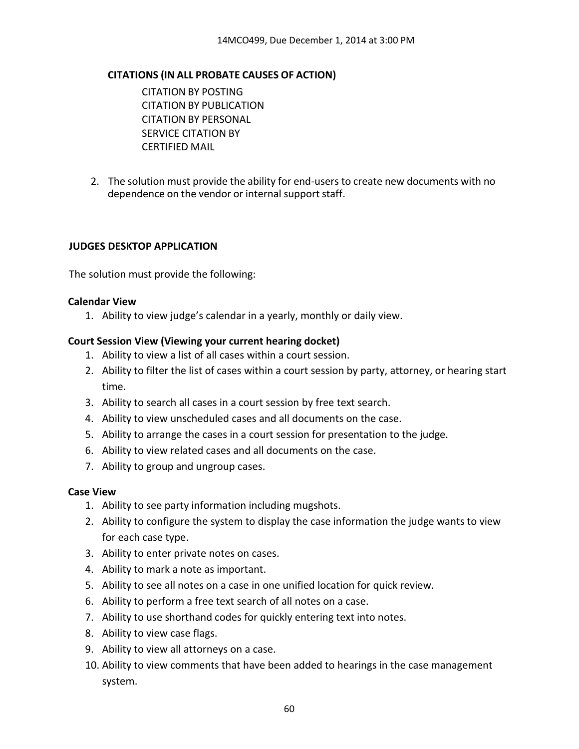## **CITATIONS (IN ALL PROBATE CAUSES OF ACTION)**

CITATION BY POSTING CITATION BY PUBLICATION CITATION BY PERSONAL SERVICE CITATION BY CERTIFIED MAIL

2. The solution must provide the ability for end‐users to create new documents with no dependence on the vendor or internal support staff.

#### **JUDGES DESKTOP APPLICATION**

The solution must provide the following:

#### **Calendar View**

1. Ability to view judge's calendar in a yearly, monthly or daily view.

#### **Court Session View (Viewing your current hearing docket)**

- 1. Ability to view a list of all cases within a court session.
- 2. Ability to filter the list of cases within a court session by party, attorney, or hearing start time.
- 3. Ability to search all cases in a court session by free text search.
- 4. Ability to view unscheduled cases and all documents on the case.
- 5. Ability to arrange the cases in a court session for presentation to the judge.
- 6. Ability to view related cases and all documents on the case.
- 7. Ability to group and ungroup cases.

#### **Case View**

- 1. Ability to see party information including mugshots.
- 2. Ability to configure the system to display the case information the judge wants to view for each case type.
- 3. Ability to enter private notes on cases.
- 4. Ability to mark a note as important.
- 5. Ability to see all notes on a case in one unified location for quick review.
- 6. Ability to perform a free text search of all notes on a case.
- 7. Ability to use shorthand codes for quickly entering text into notes.
- 8. Ability to view case flags.
- 9. Ability to view all attorneys on a case.
- 10. Ability to view comments that have been added to hearings in the case management system.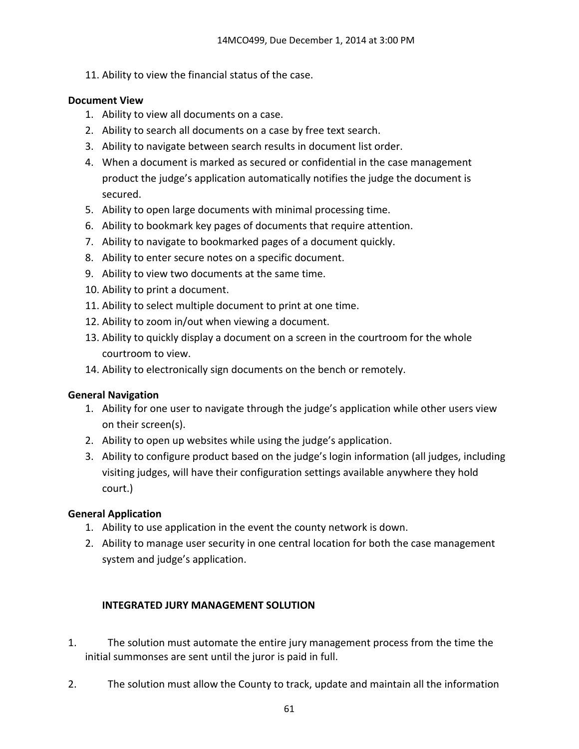11. Ability to view the financial status of the case.

### **Document View**

- 1. Ability to view all documents on a case.
- 2. Ability to search all documents on a case by free text search.
- 3. Ability to navigate between search results in document list order.
- 4. When a document is marked as secured or confidential in the case management product the judge's application automatically notifies the judge the document is secured.
- 5. Ability to open large documents with minimal processing time.
- 6. Ability to bookmark key pages of documents that require attention.
- 7. Ability to navigate to bookmarked pages of a document quickly.
- 8. Ability to enter secure notes on a specific document.
- 9. Ability to view two documents at the same time.
- 10. Ability to print a document.
- 11. Ability to select multiple document to print at one time.
- 12. Ability to zoom in/out when viewing a document.
- 13. Ability to quickly display a document on a screen in the courtroom for the whole courtroom to view.
- 14. Ability to electronically sign documents on the bench or remotely.

#### **General Navigation**

- 1. Ability for one user to navigate through the judge's application while other users view on their screen(s).
- 2. Ability to open up websites while using the judge's application.
- 3. Ability to configure product based on the judge's login information (all judges, including visiting judges, will have their configuration settings available anywhere they hold court.)

## **General Application**

- 1. Ability to use application in the event the county network is down.
- 2. Ability to manage user security in one central location for both the case management system and judge's application.

## **INTEGRATED JURY MANAGEMENT SOLUTION**

- 1. The solution must automate the entire jury management process from the time the initial summonses are sent until the juror is paid in full.
- 2. The solution must allow the County to track, update and maintain all the information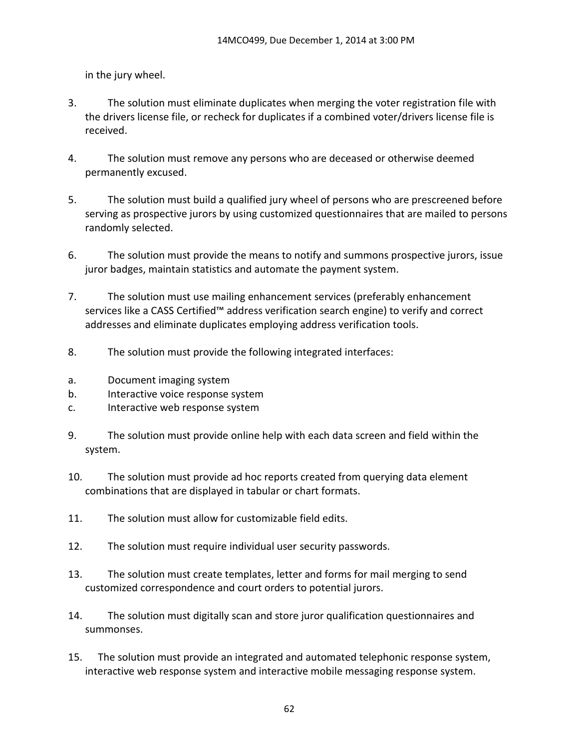in the jury wheel.

- 3. The solution must eliminate duplicates when merging the voter registration file with the drivers license file, or recheck for duplicates if a combined voter/drivers license file is received.
- 4. The solution must remove any persons who are deceased or otherwise deemed permanently excused.
- 5. The solution must build a qualified jury wheel of persons who are prescreened before serving as prospective jurors by using customized questionnaires that are mailed to persons randomly selected.
- 6. The solution must provide the means to notify and summons prospective jurors, issue juror badges, maintain statistics and automate the payment system.
- 7. The solution must use mailing enhancement services (preferably enhancement services like a CASS Certified™ address verification search engine) to verify and correct addresses and eliminate duplicates employing address verification tools.
- 8. The solution must provide the following integrated interfaces:
- a. Document imaging system
- b. Interactive voice response system
- c. Interactive web response system
- 9. The solution must provide online help with each data screen and field within the system.
- 10. The solution must provide ad hoc reports created from querying data element combinations that are displayed in tabular or chart formats.
- 11. The solution must allow for customizable field edits.
- 12. The solution must require individual user security passwords.
- 13. The solution must create templates, letter and forms for mail merging to send customized correspondence and court orders to potential jurors.
- 14. The solution must digitally scan and store juror qualification questionnaires and summonses.
- 15. The solution must provide an integrated and automated telephonic response system, interactive web response system and interactive mobile messaging response system.